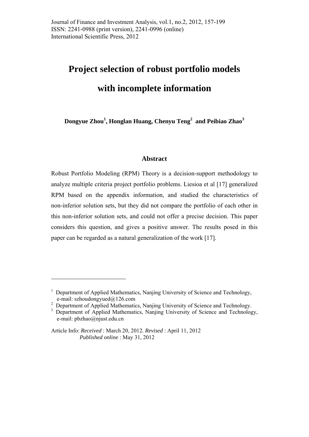# **Project selection of robust portfolio models**

# **with incomplete information**

**Dongyue Zhou1 , Honglan Huang, Chenyu Teng<sup>2</sup> and Peibiao Zhao<sup>3</sup>**

## **Abstract**

Robust Portfolio Modeling (RPM) Theory is a decision-support methodology to analyze multiple criteria project portfolio problems. Liesioa et al [17] generalized RPM based on the appendix information, and studied the characteristics of non-inferior solution sets, but they did not compare the portfolio of each other in this non-inferior solution sets, and could not offer a precise decision. This paper considers this question, and gives a positive answer. The results posed in this paper can be regarded as a natural generalization of the work [17].

1

<sup>&</sup>lt;sup>1</sup> Department of Applied Mathematics, Nanjing University of Science and Technology, e-mail: szhoudongyued@126.com

<sup>&</sup>lt;sup>2</sup> Department of Applied Mathematics, Nanjing University of Science and Technology.

<sup>&</sup>lt;sup>3</sup> Department of Applied Mathematics, Nanjing University of Science and Technology, e-mail: pbzhao@njust.edu.cn

Article Info: *Received* : March 20, 2012*. Revised* : April 11, 2012 *Published online* : May 31, 2012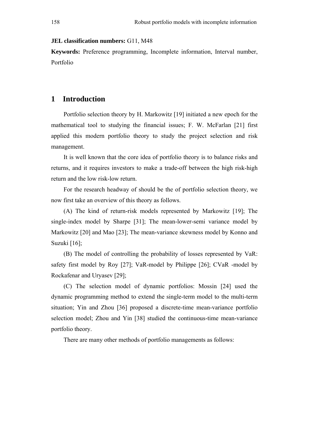### **JEL classification numbers:** G11, M48

**Keywords:** Preference programming, Incomplete information, Interval number, Portfolio

# **1 Introduction**

Portfolio selection theory by H. Markowitz [19] initiated a new epoch for the mathematical tool to studying the financial issues; F. W. McFarlan [21] first applied this modern portfolio theory to study the project selection and risk management.

It is well known that the core idea of portfolio theory is to balance risks and returns, and it requires investors to make a trade-off between the high risk-high return and the low risk-low return.

For the research headway of should be the of portfolio selection theory, we now first take an overview of this theory as follows.

(A) The kind of return-risk models represented by Markowitz [19]; The single-index model by Sharpe [31]; The mean-lower-semi variance model by Markowitz [20] and Mao [23]; The mean-variance skewness model by Konno and Suzuki [16];

(B) The model of controlling the probability of losses represented by VaR: safety first model by Roy [27]; VaR-model by Philippe [26]; CVaR -model by Rockafenar and Uryasev [29];

(C) The selection model of dynamic portfolios: Mossin [24] used the dynamic programming method to extend the single-term model to the multi-term situation; Yin and Zhou [36] proposed a discrete-time mean-variance portfolio selection model; Zhou and Yin [38] studied the continuous-time mean-variance portfolio theory.

There are many other methods of portfolio managements as follows: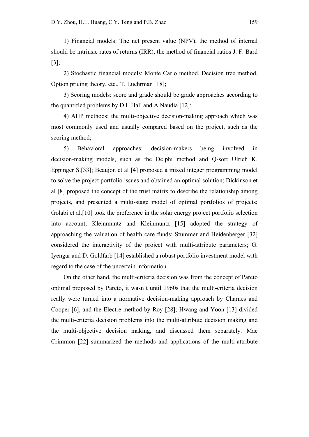1) Financial models: The net present value (NPV), the method of internal should be intrinsic rates of returns (IRR), the method of financial ratios J. F. Bard [3];

2) Stochastic financial models: Monte Carlo method, Decision tree method, Option pricing theory, etc., T. Luehrman [18];

3) Scoring models: score and grade should be grade approaches according to the quantified problems by D.L.Hall and A.Naudia [12];

4) AHP methods: the multi-objective decision-making approach which was most commonly used and usually compared based on the project, such as the scoring method;

5) Behavioral approaches: decision-makers being involved in decision-making models, such as the Delphi method and Q-sort Ulrich K. Eppinger S.[33]; Beaujon et al [4] proposed a mixed integer programming model to solve the project portfolio issues and obtained an optimal solution; Dickinson et al [8] proposed the concept of the trust matrix to describe the relationship among projects, and presented a multi-stage model of optimal portfolios of projects; Golabi et al.[10] took the preference in the solar energy project portfolio selection into account; Kleinmuntz and Kleinmuntz [15] adopted the strategy of approaching the valuation of health care funds; Stummer and Heidenberger [32] considered the interactivity of the project with multi-attribute parameters; G. Iyengar and D. Goldfarb [14] established a robust portfolio investment model with regard to the case of the uncertain information.

On the other hand, the multi-criteria decision was from the concept of Pareto optimal proposed by Pareto, it wasn't until 1960s that the multi-criteria decision really were turned into a normative decision-making approach by Charnes and Cooper [6], and the Electre method by Roy [28]; Hwang and Yoon [13] divided the multi-criteria decision problems into the multi-attribute decision making and the multi-objective decision making, and discussed them separately. Mac Crimmon [22] summarized the methods and applications of the multi-attribute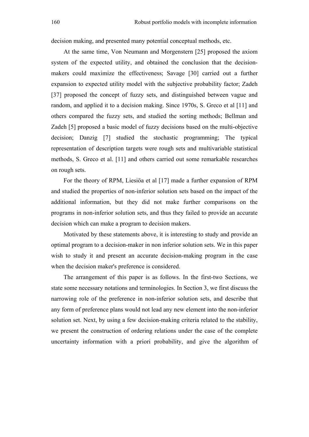decision making, and presented many potential conceptual methods, etc.

At the same time, Von Neumann and Morgenstern [25] proposed the axiom system of the expected utility, and obtained the conclusion that the decisionmakers could maximize the effectiveness; Savage [30] carried out a further expansion to expected utility model with the subjective probability factor; Zadeh [37] proposed the concept of fuzzy sets, and distinguished between vague and random, and applied it to a decision making. Since 1970s, S. Greco et al [11] and others compared the fuzzy sets, and studied the sorting methods; Bellman and Zadeh [5] proposed a basic model of fuzzy decisions based on the multi-objective decision; Danzig [7] studied the stochastic programming; The typical representation of description targets were rough sets and multivariable statistical methods, S. Greco et al. [11] and others carried out some remarkable researches on rough sets.

For the theory of RPM, Liesiöa et al [17] made a further expansion of RPM and studied the properties of non-inferior solution sets based on the impact of the additional information, but they did not make further comparisons on the programs in non-inferior solution sets, and thus they failed to provide an accurate decision which can make a program to decision makers.

Motivated by these statements above, it is interesting to study and provide an optimal program to a decision-maker in non inferior solution sets. We in this paper wish to study it and present an accurate decision-making program in the case when the decision maker's preference is considered.

The arrangement of this paper is as follows. In the first-two Sections, we state some necessary notations and terminologies. In Section 3, we first discuss the narrowing role of the preference in non-inferior solution sets, and describe that any form of preference plans would not lead any new element into the non-inferior solution set. Next, by using a few decision-making criteria related to the stability, we present the construction of ordering relations under the case of the complete uncertainty information with a priori probability, and give the algorithm of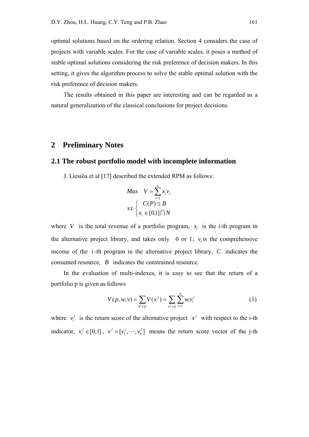optimal solutions based on the ordering relation. Section 4 considers the case of projects with variable scales. For the case of variable scales, it poses a method of stable optimal solutions considering the risk preference of decision makers. In this setting, it gives the algorithm process to solve the stable optimal solution with the risk preference of decision makers.

The results obtained in this paper are interesting and can be regarded as a natural generalization of the classical conclusions for project decisions.

# **2 Preliminary Notes**

### **2.1 The robust portfolio model with incomplete information**

J. Liesiöa et al [17] described the extended RPM as follows:

$$
Max \quad V = \sum_{i=1}^{n} x_i v_i
$$

$$
s.t. \begin{cases} C(P) \le B \\ x_i \in [0,1] \cap N \end{cases}
$$

where *V* is the total revenue of a portfolio program,  $x_i$  is the i-th program in the alternative project library, and takes only 0 or 1;  $v_i$  is the comprehensive income of the *i* -th program in the alternative project library, *C* indicates the consumed resource, *B* indicates the constrained resource.

In the evaluation of multi-indexes, it is easy to see that the return of a portfolio p is given as follows

$$
V(p, w, v) = \sum_{x^{j} \in p} V(x^{j}) = \sum_{x^{j} \in p} \sum_{i=1}^{n} w_{i} v_{i}^{j}
$$
 (1)

where  $v_i^j$  is the return score of the alternative project  $x^j$  with respect to the i-th indicator,  $v_i^j \in [0,1]$ ,  $v^j = [v_1^j, \dots, v_n^j]$  means the return score vector of the j-th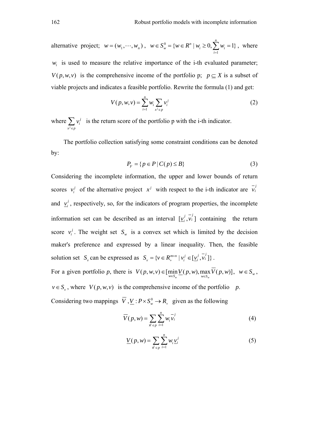alternative project;  $w = (w_1, \dots, w_n)$ ,  $w \in S_n^0$ 1  ${w \in R^n \mid w_i \ge 0, \sum_{i=1}^{n} w_i = 1}$  $w = \{w \in \mathbb{R} \mid w_i \leq v, \underline{\mathcal{L}} \mid w_i\}$ *i*  $w \in S_w^0 = \{w \in R^n \mid w_i \ge 0, \sum w_i\}$  $\in S_w^0 = \{w \in R^n \mid w_i \ge 0, \sum_{i=1}^{\infty} w_i = 1\}$ , where

 $w_i$  is used to measure the relative importance of the i-th evaluated parameter;  $V(p, w, v)$  is the comprehensive income of the portfolio p;  $p \subseteq X$  is a subset of viable projects and indicates a feasible portfolio. Rewrite the formula (1) and get:

$$
V(p, w, v) = \sum_{i=1}^{n} w_i \sum_{x^j \in p} v_i^j
$$
 (2)

where *j j i*  $x^J \in p$ *v*  $\sum_{x^i \in p} v_i^j$  is the return score of the portfolio p with the i-th indicator.

The portfolio collection satisfying some constraint conditions can be denoted by:

$$
P_F = \{ p \in P \mid C(p) \le B \} \tag{3}
$$

Considering the incomplete information, the upper and lower bounds of return scores  $v_i^j$  of the alternative project  $x^j$  with respect to the i-th indicator are  $\overline{v_i}$ and  $y_i^j$ , respectively, so, for the indicators of program properties, the incomplete information set can be described as an interval  $[\underline{v}_i^j, \overline{v}_i^j]$  containing the return score  $v_i^j$ . The weight set  $S_w$  is a convex set which is limited by the decision maker's preference and expressed by a linear inequality. Then, the feasible solution set  $S_v$  can be expressed as  $S_v = \{v \in R_+^{m \times n} \mid v_i^j \in [v_i^j, v_i^j] \}$ .

For a given portfolio *p*, there is  $V(p, w, v) \in [\min_{w \in S_w} V(p, w), \max_{w \in S_w} V(p, w)]$ ,  $w \in S_w$ ,  $v \in S_v$ , where  $V(p, w, v)$  is the comprehensive income of the portfolio *p*.

Considering two mappings  $\overline{V}$ ,  $\underline{V}$ :  $P \times S_w^0 \to R_+$  given as the following

$$
\overline{V}(p, w) = \sum_{\substack{\mathbf{x} \in p}} \sum_{i=1}^{n} w_i \overline{v_i}^{j}
$$
(4)

$$
\underline{V}(p, w) = \sum_{\mathbf{x}^i \in p} \sum_{i=1}^n w_i \underline{v}_i^j \tag{5}
$$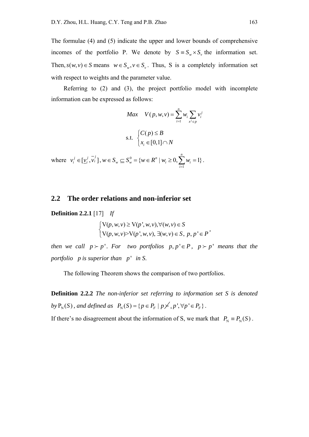The formulae (4) and (5) indicate the upper and lower bounds of comprehensive incomes of the portfolio P. We denote by  $S = S_w \times S_v$ , the information set. Then,  $s(w, v) \in S$  means  $w \in S_w$ ,  $v \in S_v$ . Thus, S is a completely information set with respect to weights and the parameter value.

Referring to (2) and (3), the project portfolio model with incomplete information can be expressed as follows:

$$
Max \t V(p, w, v) = \sum_{i=1}^{n} w_i \sum_{x^j \in p} v_i^j
$$
  
s.t. 
$$
\begin{cases} C(p) \le B \\ x_i \in [0,1] \cap N \end{cases}
$$

where  $v_i^j \in [\underline{v}_i^j, \overline{v}_i^j]$ ,  $w \in S_w \subseteq S_w^0$ 1  ${w \in R^n \mid w_i \ge 0, \sum_{i=1}^{n} w_i = 1}$  $w = v_w - \nu w = \nu$  |  $w_i = v, \nu_i$ *i*  $w \in S_w \subseteq S_w^0 = \{w \in R^n \mid w_i \ge 0, \sum w_i\}$  $\in S_w \subseteq S_w^0 = \{ w \in R^n \mid w_i \ge 0, \sum_{i=1}^n w_i = 1 \}.$ 

## **2.2 The order relations and non-inferior set**

**Definition 2.2.1** [17] *If* 

$$
\begin{cases} \nabla(p, w, v) \ge \nabla(p', w, v), \forall (w, v) \in S \\ \nabla(p, w, v) > \nabla(p', w, v), \exists (w, v) \in S, p, p' \in P' \n\end{cases}
$$

*then we call*  $p > p'$ *. For two portfolios*  $p, p' \in P$ *,*  $p > p'$  *means that the portfolio p is superior than p* ' *in S*.

The following Theorem shows the comparison of two portfolios.

**Definition 2.2.2** *The non-inferior set referring to information set S is denoted by*  $P_N(S)$ , and defined as  $P_N(S) = \{ p \in P_F \mid p \nless \{ p', p' \mid p' \in P_F \}.$ 

If there's no disagreement about the information of S, we mark that  $P_N \equiv P_N(S)$ .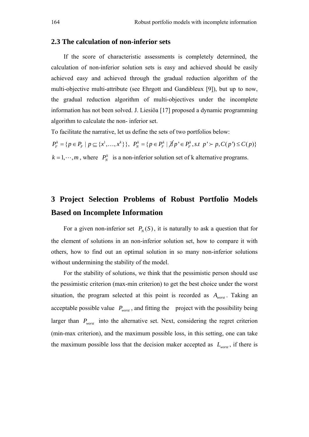### **2.3 The calculation of non-inferior sets**

If the score of characteristic assessments is completely determined, the calculation of non-inferior solution sets is easy and achieved should be easily achieved easy and achieved through the gradual reduction algorithm of the multi-objective multi-attribute (see Ehrgott and Gandibleux [9]), but up to now, the gradual reduction algorithm of multi-objectives under the incomplete information has not been solved. J. Liesiöa [17] proposed a dynamic programming algorithm to calculate the non- inferior set.

To facilitate the narrative, let us define the sets of two portfolios below:

 $P_F^k = \{ p \in P_F \mid p \subseteq \{x^1, \ldots, x^k\} \}, \quad P_N^k = \{ p \in P_F^k \mid \cancel{\exists} p \in P_F^k, \text{ s.t } p \succ p, C(p \in P_F) \}$  $k = 1, \dots, m$ , where  $P_N^k$  is a non-inferior solution set of k alternative programs.

# **3 Project Selection Problems of Robust Portfolio Models Based on Incomplete Information**

For a given non-inferior set  $P_N(S)$ , it is naturally to ask a question that for the element of solutions in an non-inferior solution set, how to compare it with others, how to find out an optimal solution in so many non-inferior solutions without undermining the stability of the model.

For the stability of solutions, we think that the pessimistic person should use the pessimistic criterion (max-min criterion) to get the best choice under the worst situation, the program selected at this point is recorded as *Aworst* . Taking an acceptable possible value  $P_{worst}$ , and fitting the project with the possibility being larger than  $P_{worst}$  into the alternative set. Next, considering the regret criterion (min-max criterion), and the maximum possible loss, in this setting, one can take the maximum possible loss that the decision maker accepted as  $L_{worst}$ , if there is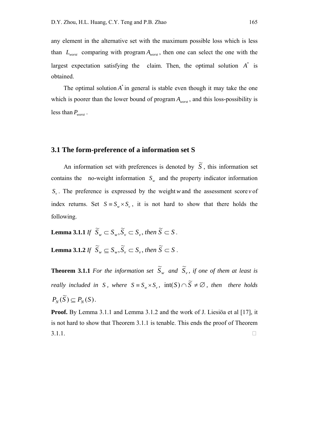any element in the alternative set with the maximum possible loss which is less than  $L_{worst}$  comparing with program  $A_{worst}$ , then one can select the one with the largest expectation satisfying the claim. Then, the optimal solution  $A^*$  is obtained.

The optimal solution  $A^*$  in general is stable even though it may take the one which is poorer than the lower bound of program  $A_{\text{worst}}$ , and this loss-possibility is less than  $P_{worst}$ .

## **3.1 The form-preference of a information set S**

An information set with preferences is denoted by  $\widetilde{S}$ , this information set contains the no-weight information  $S_w$  and the property indicator information  $S_{y}$ . The preference is expressed by the weight *w* and the assessment score *v* of index returns. Set  $S = S_{w} \times S_{v}$ , it is not hard to show that there holds the following.

**Lemma 3.1.1** *If*  $\widetilde{S}_w \subset S_w$ ,  $\widetilde{S}_v \subset S_v$ , then  $\widetilde{S} \subset S$ .

**Lemma 3.1.2** *If*  $\widetilde{S}_w \subseteq S_w$ ,  $\widetilde{S}_v \subset S_v$ , then  $\widetilde{S} \subset S$ .

**Theorem 3.1.1** *For the information set*  $\widetilde{S}_w$  *and*  $\widetilde{S}_v$ *, if one of them at least is really included in S, where*  $S = S_w \times S_v$ ,  $int(S) \cap \widetilde{S} \neq \emptyset$ , then there holds  $P_N(\widetilde{S}) \subseteq P_N(S)$ .

**Proof.** By Lemma 3.1.1 and Lemma 3.1.2 and the work of J. Liesiöa et al [17], it is not hard to show that Theorem 3.1.1 is tenable. This ends the proof of Theorem  $3.1.1.$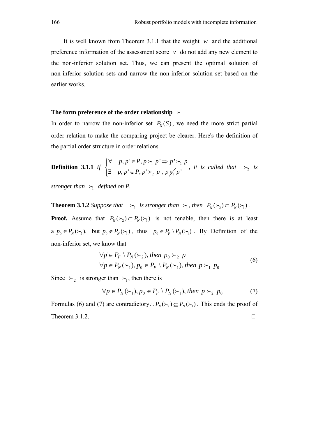It is well known from Theorem 3.1.1 that the weight *w* and the additional preference information of the assessment score  $v$  do not add any new element to the non-inferior solution set. Thus, we can present the optimal solution of non-inferior solution sets and narrow the non-inferior solution set based on the earlier works.

#### **The form preference of the order relationship**

In order to narrow the non-inferior set  $P_N(S)$ , we need the more strict partial order relation to make the comparing project be clearer. Here's the definition of the partial order structure in order relations.

**Definition 3.1.1** *If*  $\begin{cases} y & p, p \in I, p \setminus p \setminus p \setminus p \geq 1 \end{cases}$  $_2$   $_1$  ,  $_1$   $_2$   $_1$  $, p' \in P, p \succ p' \Rightarrow p'$  $, p' \in P, p'$  $p, p' \in P, p \succ p' \Rightarrow p' \succ p$  $p, p' \in P, p' \succ, p, p$  $\forall$   $p, p' \in P, p \succ p' \Rightarrow$  $\exists p, p' \in$  $\succ_{\perp} p' \Rightarrow p' \succ$  $\succ$ <sub>2</sub>  $p$ ,  $p \nsucc$ <sub>1</sub> $p'$  $\int$ ┤  $\overline{\mathcal{L}}$ *, it is called that*  $\succ_2$  *is* 

*stronger than*  $\succ_1$  *defined on P.* 

**Theorem 3.1.2** *Suppose that*  $\succ_2$  *is stronger than*  $\succ_1$ *, then*  $P_N(\succ_2) \subseteq P_N(\succ_1)$ *.* 

**Proof.** Assume that  $P_N(\succ_2) \subseteq P_N(\succ_1)$  is not tenable, then there is at least a  $p_0 \in P_N(\succ_2)$ , but  $p_0 \notin P_N(\succ_1)$ , thus  $p_0 \in P_F \setminus P_N(\succ_1)$ . By Definition of the non-inferior set, we know that

$$
\forall p' \in P_F \setminus P_N(\succ_2), \text{ then } p_0 \succ_2 p
$$
  
\n
$$
\forall p \in P_N(\succ_1), p_0 \in P_F \setminus P_N(\succ_1), \text{ then } p \succ_1 p_0
$$
 (6)

Since  $\succ_2$  is stronger than  $\succ_1$ , then there is

$$
\forall p \in P_N(\succ_1), p_0 \in P_F \setminus P_N(\succ_1), \text{ then } p \succ_2 p_0 \tag{7}
$$

Formulas (6) and (7) are contradictory :  $P_N(\succ_1) \subseteq P_N(\succ_1)$ . This ends the proof of Theorem 3.1.2.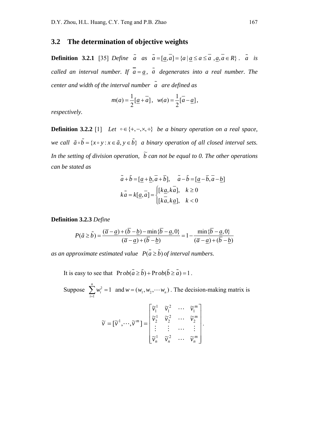# **3.2 The determination of objective weights**

**Definition 3.2.1** [35] *Define*  $\tilde{a}$  as  $\tilde{a} = [\tilde{a}, \tilde{a}] = \{a \mid a \le a \le a, a, a \in R\}$ .  $\tilde{a}$  is *called an interval number. If*  $\bar{a} = \underline{a}$ ,  $\tilde{a}$  degenerates into a real number. The *center and width of the interval number a are defined as* 

$$
m(a) = \frac{1}{2} [\underline{a} + \overline{a}], \quad w(a) = \frac{1}{2} [\overline{a} - \underline{a}],
$$

*respectively.*

**Definition 3.2.2** [1] *Let*  $\circ \in \{+, -, \times, \div\}$  *be a binary operation on a real space, we call*  $\tilde{a} \circ \tilde{b} = \{x \circ y : x \in \tilde{a}, y \in \tilde{b}\}$  a binary operation of all closed interval sets. In the setting of division operation,  $\tilde{b}$  can not be equal to 0. The other operations *can be stated as* 

$$
\tilde{a} + \tilde{b} = [\underline{a} + \underline{b}, \overline{a} + \overline{b}], \quad \tilde{a} - \tilde{b} = [\underline{a} - \overline{b}, \overline{a} - \underline{b}]
$$
  

$$
k\tilde{a} = k[\underline{a}, \overline{a}] = \begin{cases} [k\underline{a}, k\overline{a}], & k \ge 0 \\ [\overline{k}a, k\underline{a}], & k < 0 \end{cases}
$$

### **Definition 3.2.3** *Define*

$$
P(\tilde{a} \ge \tilde{b}) = \frac{(\overline{a} - \underline{a}) + (\overline{b} - \underline{b}) - \min\{\overline{b} - \underline{a}, 0\}}{(\overline{a} - \underline{a}) + (\overline{b} - \underline{b})} = 1 - \frac{\min\{\overline{b} - \underline{a}, 0\}}{(\overline{a} - \underline{a}) + (\overline{b} - \underline{b})}
$$

*as an approximate estimated value*  $P(\tilde{a} \ge \tilde{b})$  *of interval numbers.* 

It is easy to see that  $\text{Pr} ob(\tilde{a} \ge \tilde{b}) + \text{Pr} ob(\tilde{b} \ge \tilde{a}) = 1$ .

Suppose  $\sum w_i^2$ 1 1 *n i i w*  $\sum_{i=1} w_i^2 = 1$  and  $w = (w_1, w_2, \dots, w_n)$ . The decision-making matrix is

$$
\widetilde{\nu} = [\widetilde{\nu}^1, \cdots, \widetilde{\nu}^m] = \begin{bmatrix} \widetilde{\nu}_1^1 & \widetilde{\nu}_1^2 & \cdots & \widetilde{\nu}_1^m \\ \widetilde{\nu}_2^1 & \widetilde{\nu}_2^2 & \cdots & \widetilde{\nu}_2^m \\ \vdots & \vdots & \cdots & \vdots \\ \widetilde{\nu}_n^1 & \widetilde{\nu}_n^2 & \cdots & \widetilde{\nu}_n^m \end{bmatrix}.
$$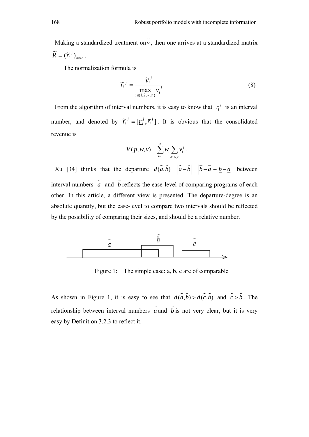Making a standardized treatment on  $\tilde{v}$ , then one arrives at a standardized matrix  $m \times n$  $\widetilde{R} = (\widetilde{r}_i^j)_{m \times n}$ .

The normalization formula is

$$
\widetilde{r}_i^j = \frac{\widetilde{v}_i^j}{\max_{i \in \{1, 2, \cdots, n\}} \overline{v}_i^j}
$$
(8)

From the algorithm of interval numbers, it is easy to know that  $r_i^j$  is an interval number, and denoted by  $\tilde{r}_i^j = [\underline{r}_i^j, \overline{r}_i^j]$ *j i*  $\widetilde{r}_i^j = [\underline{r}_i^j, \overline{r}_i^j]$ . It is obvious that the consolidated revenue is

$$
V(p, w, v) = \sum_{i=1}^{n} w_i \sum_{x^i \in p} v_i^j.
$$

Xu [34] thinks that the departure  $d(\tilde{a}, \tilde{b}) = ||\tilde{a} - \tilde{b}|| = |\overline{b} - \overline{a}| + |\underline{b} - \underline{a}|$  between interval numbers  $\tilde{a}$  and  $\tilde{b}$  reflects the ease-level of comparing programs of each other. In this article, a different view is presented. The departure-degree is an absolute quantity, but the ease-level to compare two intervals should be reflected by the possibility of comparing their sizes, and should be a relative number.



Figure 1: The simple case: a, b, c are of comparable

As shown in Figure 1, it is easy to see that  $d(\tilde{a}, \tilde{b}) > d(\tilde{c}, \tilde{b})$  and  $\tilde{c} > \tilde{b}$ . The relationship between interval numbers  $\tilde{a}$  and  $\tilde{b}$  is not very clear, but it is very easy by Definition 3.2.3 to reflect it.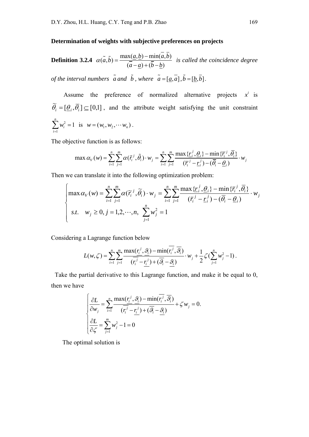### **Determination of weights with subjective preferences on projects**

**Definition 3.2.4** 
$$
\alpha(\tilde{a}, \tilde{b}) = \frac{\max(a, b) - \min(\overline{a}, \overline{b})}{(\overline{a} - \underline{a}) + (\overline{b} - \underline{b})}
$$
 is called the coincidence degree  
of the interval numbers  $\tilde{a}$  and  $\tilde{b}$ , where  $\tilde{a} = [\underline{a}, \overline{a}], \tilde{b} = [\underline{b}, \overline{b}].$ 

Assume the preference of normalized alternative projects  $x^i$  is  $\widetilde{\theta}_i = [\underline{\theta}_i, \overline{\theta}_i] \subseteq [0,1]$ , and the attribute weight satisfying the unit constraint 2 1 1 *n i i w*  $\sum_{i=1} w_i^2 = 1$  is  $w = (w_1, w_2, \cdots w_n)$ .

The objective function is as follows:

$$
\max \alpha_V(w) = \sum_{i=1}^n \sum_{j=1}^m \alpha(\tilde{r}_i^j, \tilde{\theta}_i) \cdot w_j = \sum_{i=1}^n \sum_{j=1}^m \frac{\max\{r_i^j, \theta_i\} - \min\{\overline{r}_i^j, \overline{\theta}_i\}}{(\overline{r}_i^j - \underline{r}_i^j) - (\overline{\theta}_i - \underline{\theta}_i)} \cdot w_j
$$

Then we can translate it into the following optimization problem:

$$
\begin{cases}\n\max \alpha_V(w) = \sum_{i=1}^n \sum_{j=1}^m \alpha(\widetilde{r}_i^j, \widetilde{\theta}_i) \cdot w_j = \sum_{i=1}^n \sum_{j=1}^m \frac{\max \{ \underline{r}_i^j, \underline{\theta}_i \} - \min \{ \overline{r}_i^j, \overline{\theta}_i \}}{(\overline{r}_i^j - \underline{r}_i^j) - (\overline{\theta}_i - \underline{\theta}_i)} \cdot w_j \\
s.t. \quad w_j \ge 0, j = 1, 2, \cdots, n, \sum_{j=1}^n w_j^2 = 1\n\end{cases}
$$

Considering a Lagrange function below

$$
L(w,\zeta) = \sum_{i=1}^n \sum_{j=1}^m \frac{\max(r_i^j,\mathcal{G}_i) - \min(r_i^j,\overline{\mathcal{G}_i})}{(\overline{r_i^j} - \underline{r_i^j}) + (\overline{\mathcal{G}_i} - \underline{\mathcal{G}_i})} \cdot w_j + \frac{1}{2} \zeta \left( \sum_{j=1}^n w_j^2 - 1 \right).
$$

Take the partial derivative to this Lagrange function, and make it be equal to 0, then we have

$$
\begin{cases}\n\frac{\partial L}{\partial w_j} = \sum_{i=1}^n \frac{\max(r_i^j, \mathcal{G}_i) - \min(r_i^j, \overline{\mathcal{G}}_i)}{(\overline{r_i^j} - \underline{r_i^j}) + (\overline{\mathcal{G}}_i - \underline{\mathcal{G}}_i)} + \zeta w_j = 0. \\
\frac{\partial L}{\partial \zeta} = \sum_{j=1}^m w_j^2 - 1 = 0\n\end{cases}
$$

The optimal solution is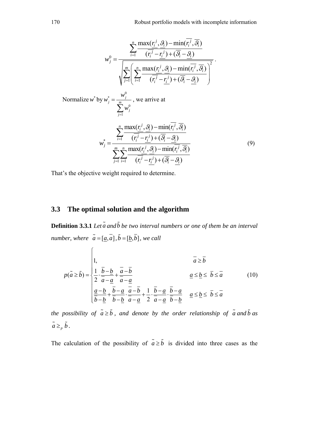170 Robust portfolio models with incomplete information

$$
w_j^0 = \frac{\sum_{i=1}^n \frac{\max(r_i^j, \mathcal{G}_i) - \min(r_i^j, \mathcal{G}_i)}{(\overline{r_i^j} - \overline{r_i^j}) + (\overline{\mathcal{G}_i} - \mathcal{G}_i)}}{\sqrt{\sum_{j=1}^m \left(\sum_{i=1}^n \frac{\max(r_i^j, \mathcal{G}_i) - \min(r_i^j, \mathcal{G}_i)}{(\overline{r_i^j} - \overline{r_i^j}) + (\overline{\mathcal{G}_i} - \mathcal{G}_i)}\right)^2}}
$$
\nNormalize  $w^*$  by  $w_j^* = \frac{w_j^0}{\sum_{j=1}^m w_j^0}$ , we arrive at

\n
$$
w_j^* = \frac{\sum_{i=1}^n \frac{\max(r_i^j, \mathcal{G}_i) - \min(r_i^j, \mathcal{G}_i)}{(\overline{r_i^j} - \overline{r_i^j}) + (\overline{\mathcal{G}_i} - \mathcal{G}_i)}}{\sum_{j=1}^m \frac{\max(r_i^j, \mathcal{G}_i) - \min(r_i^j, \mathcal{G}_i)}{(\overline{r_i^j} - \overline{r_i^j}) + (\overline{\mathcal{G}_i} - \mathcal{G}_i)}} \tag{9}
$$

That's the objective weight required to determine.

# **3.3 The optimal solution and the algorithm**

 $\epsilon$ 

**Definition 3.3.1** *Let*  $\tilde{a}$  *and*  $\tilde{b}$  *be two interval numbers or one of them be an interval number, where*  $\tilde{a} = [\underline{a}, \overline{a}], \tilde{b} = [\underline{b}, \overline{b}],$  we call

$$
p(\tilde{a} \ge \tilde{b}) = \begin{vmatrix} 1, & \bar{a} \ge \bar{b} \\ \frac{1}{2} \cdot \frac{\bar{b} - \underline{b}}{\bar{a} - \underline{a}} + \frac{\bar{a} - \bar{b}}{\bar{a} - \underline{a}} \\ \frac{\underline{a} - \underline{b}}{\bar{b} - \underline{b}} + \frac{\bar{b} - \underline{a}}{\bar{a} - \underline{a}} \cdot \frac{\bar{a} - \bar{b}}{\bar{a} - \underline{a}} + \frac{1}{2} \cdot \frac{\bar{b} - \underline{a}}{\bar{a} - \underline{a}} \cdot \frac{\bar{b} - \underline{a}}{\bar{b} - \underline{b}} & \underline{a} \le \underline{b} \le \bar{b} \le \bar{a} \end{vmatrix}
$$
(10)

*the possibility of*  $\tilde{a} \geq \tilde{b}$ , and denote by the order relationship of  $\tilde{a}$  and  $\tilde{b}$  as  $\tilde{a} \geq p \tilde{b}$ .

The calculation of the possibility of  $\tilde{a} \ge \tilde{b}$  is divided into three cases as the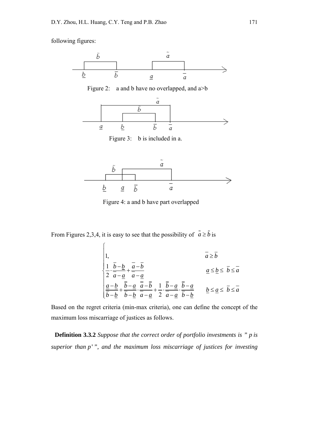following figures:





Figure 4: a and b have part overlapped

From Figures 2,3,4, it is easy to see that the possibility of  $\tilde{a} \ge \tilde{b}$  is

$$
\begin{cases}\n1, & \bar{a} \geq \bar{b} \\
\frac{1}{2} \cdot \frac{\bar{b} - \underline{b}}{\bar{a} - \underline{a}} + \frac{\bar{a} - \bar{b}}{\bar{a} - \underline{a}} \\
\frac{\underline{a} - \underline{b}}{\bar{b} - \underline{b}} + \frac{\bar{b} - \underline{a}}{\bar{b} - \underline{b}} \cdot \frac{\bar{a} - \bar{b}}{\bar{a} - \underline{a}} + \frac{1}{2} \cdot \frac{\bar{b} - \underline{a}}{\bar{a} - \underline{a}} \cdot \frac{\bar{b} - \underline{a}}{\bar{b} - \underline{b}} \\
\frac{\underline{a} - \underline{b}}{\bar{b} - \underline{b}} + \frac{\bar{b} - \underline{a}}{\bar{b} - \underline{b}} \cdot \frac{\bar{a} - \underline{a}}{\bar{a} - \underline{a}} \cdot \frac{\bar{b} - \underline{a}}{\bar{b} - \underline{b}} \\
\frac{\underline{b}}{\bar{b}} & \leq \underline{a} \leq \bar{b} \leq \bar{a}\n\end{cases}
$$

Based on the regret criteria (min-max criteria), one can define the concept of the maximum loss miscarriage of justices as follows.

**Definition 3.3.2** *Suppose that the correct order of portfolio investments is " p is superior than p* ' *", and the maximum loss miscarriage of justices for investing*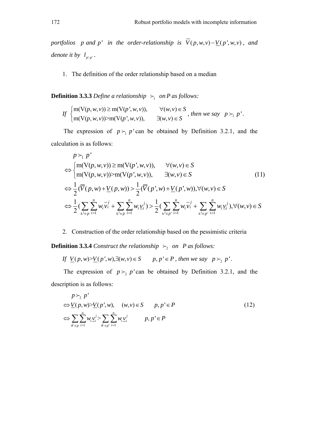*portfolios p and p*<sup>*'*</sup> *in the order-relationship is*  $\overline{V}(p, w, v) - \underline{V}(p', w, v)$ , *and denote it by*  $l_{p \setminus p'}$ .

1. The definition of the order relationship based on a median

**Definition 3.3.3** *Define a relationship*  $\succ_1$  *on P as follows:* 

If 
$$
\begin{cases} m(V(p, w, v)) \ge m(V(p', w, v)), & \forall (w, v) \in S \\ m(V(p, w, v)) > m(V(p', w, v)), & \exists (w, v) \in S \end{cases}
$$
, then we say  $p \succ_1 p'$ .

The expression of  $p \succ_1 p'$  can be obtained by Definition 3.2.1, and the calculation is as follows:

$$
p \succ_1 p'
$$
  
\n
$$
\Leftrightarrow \begin{cases} m(V(p, w, v)) \ge m(V(p', w, v)), & \forall (w, v) \in S \\ m(V(p, w, v)) > m(V(p', w, v)), & \exists (w, v) \in S \end{cases} (11)
$$
  
\n
$$
\Leftrightarrow \frac{1}{2} (\overline{V}(p, w) + \underline{V}(p, w)) > \frac{1}{2} (\overline{V}(p', w) + \underline{V}(p', w)), \forall (w, v) \in S
$$
  
\n
$$
\Leftrightarrow \frac{1}{2} (\sum_{x^j \in p} \sum_{i=1}^n w_i \overline{v_i}^j + \sum_{x^j \in p} \sum_{i=1}^n w_i \underline{v_i}^j) > \frac{1}{2} (\sum_{x^j \in p'} \sum_{i=1}^n w_i \overline{v_i}^j + \sum_{x^j \in p'} \sum_{i=1}^n w_i \underline{v_i}^j), \forall (w, v) \in S
$$

2. Construction of the order relationship based on the pessimistic criteria

**Definition 3.3.4** *Construct the relationship*  $\succ_2$  *on P as follows:* 

*If*  $\underline{V}(p, w) > \underline{V}(p', w), \exists (w, v) \in S$   $p, p' \in P$ , then we say  $p \succ_2 p'$ .

The expression of  $p \succ_2 p'$  can be obtained by Definition 3.2.1, and the description is as follows:

$$
p \succ_2 p'
$$
  
\n
$$
\Leftrightarrow \underline{V}(p, w) > \underline{V}(p', w), \quad (w, v) \in S \qquad p, p' \in P
$$
  
\n
$$
\Leftrightarrow \sum_{\substack{x^i \in p \\ y^i \in P}} \sum_{i=1}^n w_i \underline{v}_i^j > \sum_{\substack{x^i \in p' \\ y^i \in P}} \sum_{i=1}^n w_i \underline{v}_i^j \qquad p, p' \in P
$$
\n(12)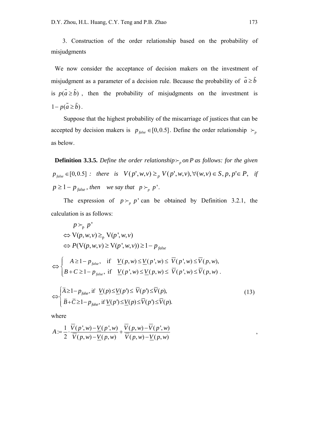3. Construction of the order relationship based on the probability of misjudgments

We now consider the acceptance of decision makers on the investment of misjudgment as a parameter of a decision rule. Because the probability of  $\tilde{a} \ge \tilde{b}$ is  $p(\tilde{a} \ge \tilde{b})$ , then the probability of misjudgments on the investment is  $1-p(\tilde{a} \geq \tilde{b})$ .

Suppose that the highest probability of the miscarriage of justices that can be accepted by decision makers is  $p_{false} \in [0,0.5]$ . Define the order relationship  $\succ_p$ as below.

**Definition 3.3.5.** *Define the order relationship* $\succ_p$  *on P as follows: for the given*  $p_{\text{false}} \in [0, 0.5]$  *: there is*  $V(p', w, v) \geq_{p} V(p', w, v), \forall (w, v) \in S, p, p' \in P, \text{ if }$  $p \geq 1 - p_{false}$ , then we say that  $p \succ_p p'$ .

The expression of  $p \succ_p p'$  can be obtained by Definition 3.2.1, the calculation is as follows:

$$
p \succ_{p} p'
$$
  
\n
$$
\Leftrightarrow V(p, w, v) \geq_{p} V(p', w, v)
$$
  
\n
$$
\Leftrightarrow P(V(p, w, v) \geq V(p', w, v)) \geq 1 - p_{false}
$$
  
\n
$$
\Leftrightarrow \begin{cases} A \geq 1 - p_{false}, & \text{if } \underline{V}(p, w) \leq \underline{V}(p', w) \leq \overline{V}(p', w) \leq \overline{V}(p, w), \\ B + C \geq 1 - p_{false}, & \text{if } \underline{V}(p', w) \leq \underline{V}(p, w) \leq \overline{V}(p', w) \leq \overline{V}(p, w). \end{cases}
$$
  
\n
$$
\Leftrightarrow \begin{cases} \overline{A} \geq 1 - p_{false}, & \text{if } \underline{V}(p) \leq \underline{V}(p') \leq \overline{V}(p') \leq \overline{V}(p), \\ \overline{B} + \overline{C} \geq 1 - p_{false}, & \text{if } \underline{V}(p') \leq \underline{V}(p) \leq \overline{V}(p') \leq \overline{V}(p). \end{cases}
$$
\n(13)

where

$$
A := \frac{1}{2} \cdot \frac{\overline{V}(p', w) - \underline{V}(p', w)}{\overline{V}(p, w) - \underline{V}(p, w)} + \frac{\overline{V}(p, w) - \overline{V}(p', w)}{\overline{V}(p, w) - \underline{V}(p, w)},
$$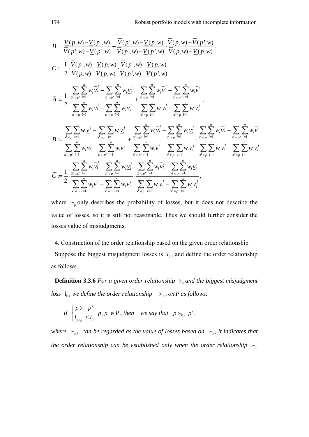$$
B := \frac{\underline{V}(p, w) - \underline{V}(p', w)}{\overline{V}(p', w) - \underline{V}(p, w)} + \frac{\overline{V}(p', w) - \underline{V}(p, w)}{\overline{V}(p', w) - \underline{V}(p, w)} \cdot \frac{\overline{V}(p, w) - \overline{V}(p', w)}{\overline{V}(p, w) - \underline{V}(p, w)},
$$
\n
$$
C := \frac{1}{2} \cdot \frac{\overline{V}(p', w) - \underline{V}(p, w)}{\overline{V}(p, w) - \underline{V}(p, w)} \cdot \frac{\overline{V}(p', w) - \underline{V}(p, w)}{\overline{V}(p', w) - \underline{V}(p, w)}
$$
\n
$$
\overline{A} := \frac{1}{2} \cdot \frac{\sum_{\forall e} \sum_{i=1}^{n} w_i \overline{v_i} - \sum_{\forall e} \sum_{i=1}^{n} w_i \underline{v_i}'}{\sum_{\forall e} \sum_{i=1}^{n} w_i \overline{v_i} - \sum_{\forall e} \sum_{i=1}^{n} w_i \underline{v_i}'} + \frac{\sum_{\forall e} \sum_{i=1}^{n} w_i \overline{v_i}'}{\sum_{\forall e} \sum_{i=1}^{n} w_i \overline{v_i} - \sum_{\forall e} \sum_{i=1}^{n} w_i \overline{v_i}}.
$$
\n
$$
\overline{B} := \frac{\sum_{\forall e} \sum_{i=1}^{n} w_i \underline{v_i}'}{\sum_{\forall e} \sum_{i=1}^{n} w_i \underline{v_i}'} - \sum_{\forall e} \sum_{i=1}^{n} w_i \underline{v_i}'}{\sum_{\forall e} \sum_{i=1}^{n} w_i \overline{V}(p, v, v) - \sum_{\forall e} \sum_{i=1}^{n} w_i \overline{V}(p, v, v)}.
$$
\n
$$
\overline{B} := \frac{\sum_{\forall e} \sum_{i=1}^{n} w_i \underline{v_i}'}{\sum_{\forall e} \sum_{i=1}^{n} w_i \underline{v_i}'} - \sum_{\forall e} \sum_{i=1}^{n} w_i \underline{v_i}'}{\sum_{\forall e} \sum_{i=1}^{n} w_i \overline{V}(p, v, v)} - \sum_{\forall e} \sum_{i=1}^{n}
$$

where  $\mu_p$  only describes the probability of losses, but it does not describe the value of losses, so it is still not reasonable. Thus we should further consider the losses value of misjudgments.

4. Construction of the order relationship based on the given order relationship Suppose the biggest misjudgment losses is  $l_0$ , and define the order relationship as follows.

**Definition 3.3.6** *For a given order relationship*  $\succ_0$  *and the biggest misjudgment loss*  $l_0$ *, we define the order relationship*  $\succ_{0,l}$  *on P as follows:* 

If 
$$
\begin{cases} p \succ_0 p' \\ l_{p \setminus p'} \le l_0 \end{cases}
$$
  $p, p' \in P$ , then we say that  $p \succ_{0,l} p'$ .

*where*  $\succ_{0,l}$  *can be regarded as the value of losses based on*  $\succ_{0}$ *, it indicates that the order relationship can be established only when the order relationship*  $\succ_0$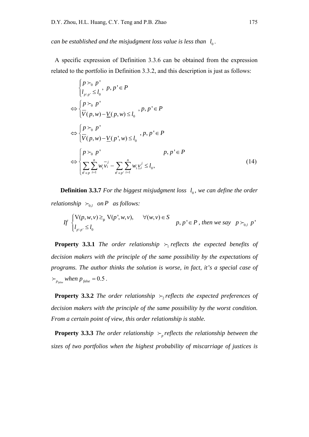*can be established and the misjudgment loss value is less than*  $l_0$ .

A specific expression of Definition 3.3.6 can be obtained from the expression related to the portfolio in Definition 3.3.2, and this description is just as follows:

$$
\begin{cases}\np \succ_0 p' \\
l_{p \backslash p'} \le l_0\n\end{cases}, p, p' \in P
$$
\n
$$
\Leftrightarrow \begin{cases}\np \succ_0 p' \\
\overline{V}(p, w) - \underline{V}(p, w) \le l_0\n\end{cases}, p, p' \in P
$$
\n
$$
\Leftrightarrow \begin{cases}\np \succ_0 p' \\
\overline{V}(p, w) - \underline{V}(p', w) \le l_0\n\end{cases}, p, p' \in P
$$
\n
$$
\Leftrightarrow \begin{cases}\np \succ_0 p' & p, p' \in P \\
\sum_{\substack{x \neq p \\ y \neq i}} \sum_{i=1}^n w_i \overline{v_i} - \sum_{\substack{x \neq p' \\ y \neq i}} \sum_{i=1}^n w_i \underline{v_i}^j \le l_0,\n\end{cases} (14)
$$

**Definition 3.3.7** *For the biggest misjudgment loss*  $l_0$ *, we can define the order relationship*  $\succ_{0,l}$  *on P as follows:* 

If 
$$
\begin{cases} V(p, w, v) \geq_{p} V(p', w, v), & \forall (w, v) \in S \\ l_{p \setminus p'} \leq l_{0} \end{cases}
$$
  $p, p' \in P$ , then we say  $p \succ_{0, l} p'$ 

**Property 3.3.1** *The order relationship*  $\succ$ <sub>1</sub> *reflects the expected benefits of decision makers with the principle of the same possibility by the expectations of programs. The author thinks the solution is worse, in fact, it's a special case of*   $\epsilon_{p_{false}}$  *when*  $p_{false} = 0.5$ .

**Property 3.3.2** *The order relationship*  $\succ$ , *reflects the expected preferences of decision makers with the principle of the same possibility by the worst condition. From a certain point of view, this order relationship is stable.*

**Property 3.3.3** *The order relationship*  $\rightarrow$  *p reflects the relationship between the sizes of two portfolios when the highest probability of miscarriage of justices is*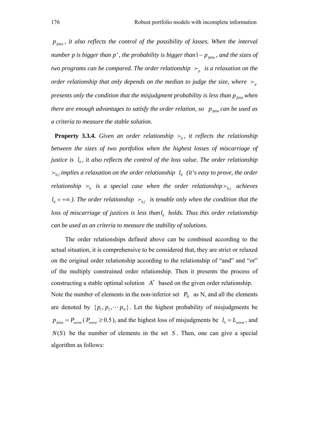$p_{\text{false}}$ , it also reflects the control of the possibility of losses. When the interval *number p is bigger than*  $p'$ , *the probability is bigger than*  $1 - p_{\text{false}}$ *, and the sizes of two programs can be compared. The order relationship*  $\succ_p$  *is a relaxation on the order relationship that only depends on the median to judge the size, where*  $\succ_{p}$ *presents only the condition that the misjudgment probability is less than*  $p_{\text{false}}$  *when there are enough advantages to satisfy the order relation, so*  $p_{\text{false}}$  *can be used as a criteria to measure the stable solution*.

**Property 3.3.4.** Given an order relationship  $\succ_{0}$ , it reflects the relationship between the sizes of two portfolios when the highest losses of miscarriage of *justice is*  $l_0$ *, it also reflects the control of the loss value. The order relationship*  $\succ_{0,l}$  *implies a relaxation on the order relationship*  $l_0$  *(it's easy to prove, the order relationship*  $\succ_0$  *is a special case when the order relationship*  $\succ_{0,l}$  *achieves*  $l_0 = +\infty$ ). The order relationship  $\succ_{0,l}$  is tenable only when the condition that the *loss of miscarriage of justices is less than*  $l_0$  *holds. Thus this order relationship can be used as an criteria to measure the stability of solutions*.

 The order relationships defined above can be combined according to the actual situation, it is comprehensive to be considered that, they are strict or relaxed on the original order relationship according to the relationship of "and" and "or" of the multiply constrained order relationship. Then it presents the process of constructing a stable optimal solution  $A^*$  based on the given order relationship. Note the number of elements in the non-inferior set  $P_N$  as N, and all the elements are denoted by  $\{p_1, p_2, \dots, p_N\}$ . Let the highest probability of misjudgments be  $p_{\text{false}} = P_{\text{worst}}$  ( $P_{\text{worst}} \ge 0.5$ ), and the highest loss of misjudgments be  $l_0 = L_{\text{worst}}$ , and  $N(S)$  be the number of elements in the set *S*. Then, one can give a special algorithm as follows: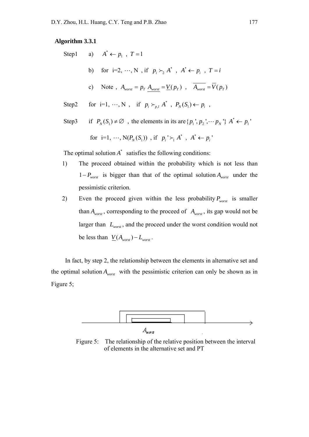#### **Algorithm 3.3.1**

|       | Step1 a) $A^* \leftarrow p_1$ , $T = 1$                                                                |
|-------|--------------------------------------------------------------------------------------------------------|
|       | b) for i=2, $\cdots$ , N, if $p_i \succ_i A^*$ , $A^* \leftarrow p_i$ , $T = i$                        |
|       | c) Note, $A_{worst} = p_T A_{worst} = V(p_T)$ , $A_{worst} = V(p_T)$                                   |
| Step2 | for i=1, $\cdots$ , N, if $p_i \succ_{p,l} A^*$ , $P_N(S_1) \leftarrow p_i$ ,                          |
| Step3 | if $P_N(S_1) \neq \emptyset$ , the elements in its are $\{p_1, p_2, \dots, p_N\}$ $A^* \leftarrow p_1$ |

for i=1, ..., N(
$$
P_N(S_1)
$$
) , if  $p_i' \succ_1 A^*$ ,  $A^* \leftarrow p_i'$ 

The optimal solution  $A^*$  satisfies the following conditions:

- 1) The proceed obtained within the probability which is not less than  $1 - P_{worst}$  is bigger than that of the optimal solution  $A_{worst}$  under the pessimistic criterion.
- 2) Even the proceed given within the less probability  $P_{worst}$  is smaller than  $A_{worst}$ , corresponding to the proceed of  $A_{worst}$ , its gap would not be larger than  $L_{\text{worst}}$ , and the proceed under the worst condition would not be less than  $V(A_{worst}) - L_{worst}$ .

 In fact, by step 2, the relationship between the elements in alternative set and the optimal solution  $A_{worst}$  with the pessimistic criterion can only be shown as in Figure 5;



 Figure 5: The relationship of the relative position between the interval of elements in the alternative set and PT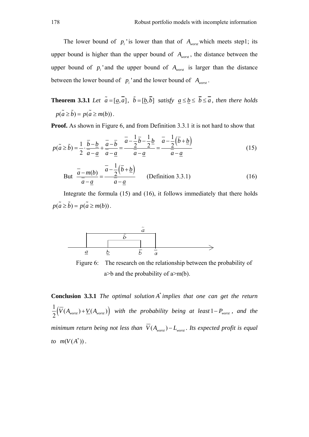The lower bound of  $p_i$  is lower than that of  $A_{worst}$  which meets step1; its upper bound is higher than the upper bound of  $A_{\text{worst}}$ , the distance between the upper bound of  $p_i$  and the upper bound of  $A_{worst}$  is larger than the distance between the lower bound of  $p_i$  and the lower bound of  $A_{worst}$ .

**Theorem 3.3.1** *Let*  $\tilde{a} = [\underline{a}, \overline{a}]$ ,  $\tilde{b} = [\underline{b}, \overline{b}]$  *satisfy*  $\underline{a} \le \underline{b} \le \overline{b} \le \overline{a}$ *, then there holds*  $p(\tilde{a} \ge \tilde{b}) = p(\tilde{a} \ge m(b)).$ 

**Proof.** As shown in Figure 6, and from Definition 3.3.1 it is not hard to show that

$$
p(\tilde{a} \ge \tilde{b}) = \frac{1}{2} \cdot \frac{\overline{b} - \underline{b}}{\overline{a} - \underline{a}} + \frac{\overline{a} - \overline{b}}{\overline{a} - \underline{a}} = \frac{\overline{a} - \frac{1}{2}\overline{b} - \frac{1}{2}\underline{b}}{\overline{a} - \underline{a}} = \frac{\overline{a} - \frac{1}{2}(\overline{b} + \underline{b})}{\overline{a} - \underline{a}} \tag{15}
$$

But 
$$
\frac{\overline{a} - m(b)}{\overline{a} - \underline{a}} = \frac{\overline{a} - \frac{1}{2} (\overline{b} + \underline{b})}{\overline{a} - \underline{a}}
$$
 (Definition 3.3.1) (16)

Integrate the formula (15) and (16), it follows immediately that there holds  $p(\tilde{a} \ge \tilde{b}) = p(\tilde{a} \ge m(b)).$ 



 Figure 6: The research on the relationship between the probability of  $a$ >b and the probability of  $a$ >m(b).

**Conclusion 3.3.1** *The optimal solution* \* *A implies that one can get the return*   $\frac{1}{2}(\overline{V}(A_{worst}) + \underline{V}(A_{worst})\right)$  with the probability being at least  $1-P_{worst}$ , and the *minimum return being not less than*  $\overline{V}(A_{\text{worst}}) - L_{\text{worst}}$ *. Its expected profit is equal to*  $m(V(A^*))$ .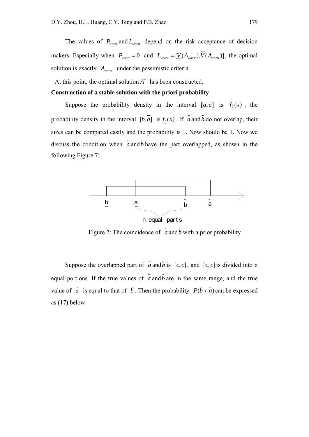The values of  $P_{worst}$  and  $L_{worst}$  depend on the risk acceptance of decision makers. Especially when  $P_{worst} = 0$  and  $L_{worst} = [\underline{V}(A_{worst}), \overline{V}(A_{worst})]$ , the optimal solution is exactly *Aworst* under the pessimistic criteria.

At this point, the optimal solution  $A^*$  has been constructed.

#### **Construction of a stable solution with the priori probability**

Suppose the probability density in the interval [ $\underline{a}$ , *a*] is  $f_a(x)$ , the probability density in the interval  $[\underline{b}, \overline{b}]$  is  $f_{\overline{b}}(x)$ . If  $\overline{a}$  and  $\overline{b}$  do not overlap, their sizes can be compared easily and the probability is 1. Now should be 1. Now we discuss the condition when  $\tilde{a}$  and  $\tilde{b}$  have the part overlapped, as shown in the following Figure 7:



Figure 7: The coincidence of  $\tilde{a}$  and  $\tilde{b}$  with a prior probability

Suppose the overlapped part of  $\tilde{a}$  and  $\tilde{b}$  is  $[c, \overline{c}]$ , and  $[c, \overline{c}]$  is divided into n equal portions. If the true values of  $\tilde{a}$  and  $\tilde{b}$  are in the same range, and the true value of  $\tilde{a}$  is equal to that of  $\tilde{b}$ . Then the probability  $P(\tilde{b} < \tilde{a})$  can be expressed as (17) below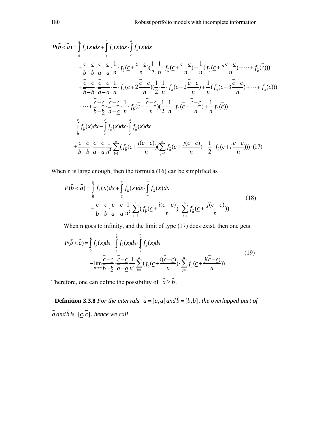$$
P(\tilde{b} < \tilde{a}) = \int_{\frac{b}{c}}^{c} f_{\tilde{b}}(x) dx + \int_{c}^{\overline{c}} f_{\tilde{a}}(x) dx
$$
  
\n
$$
+ \frac{\overline{c} - \underline{c}}{\overline{b} - \underline{b}} \cdot \frac{\overline{c} - \underline{c}}{\overline{a} - \underline{a}} \cdot \frac{1}{n} \cdot f_{\tilde{b}}(\underline{c} + \frac{\overline{c} - \underline{c}}{n}) \left(\frac{1}{2} \cdot \frac{1}{n} \cdot f_{\tilde{a}}(\underline{c} + \frac{\overline{c} - \underline{c}}{n}) + \frac{1}{n} (f_{\tilde{a}}(\underline{c} + 2\frac{\overline{c} - \underline{c}}{n}) + \cdots + f_{\tilde{a}}(\overline{c}))\right)
$$
  
\n
$$
+ \frac{\overline{c} - \underline{c}}{\overline{b} - \underline{b}} \cdot \frac{\overline{c} - \underline{c}}{\overline{a} - \underline{a}} \cdot \frac{1}{n} \cdot f_{\tilde{b}}(\underline{c} + 2\frac{\overline{c} - \underline{c}}{n}) \left(\frac{1}{2} \cdot \frac{1}{n} \cdot f_{\tilde{a}}(\underline{c} + 2\frac{\overline{c} - \underline{c}}{n}) + \frac{1}{n} (f_{\tilde{a}}(\underline{c} + 3\frac{\overline{c} - \underline{c}}{n}) + \cdots + f_{\tilde{a}}(\overline{c}))\right)
$$
  
\n
$$
+ \cdots + \frac{\overline{c} - \underline{c}}{\overline{b} - \underline{b}} \cdot \frac{\overline{c}}{\overline{a} - \underline{a}} \cdot \frac{1}{n} \cdot f_{\tilde{b}}(\overline{c} - \frac{\overline{c} - \underline{c}}{n}) \left(\frac{1}{2} \cdot \frac{1}{n} \cdot f_{\tilde{a}}(\overline{c} - \frac{\overline{c} - \underline{c}}{n}) + \frac{1}{n} f_{\tilde{a}}(\overline{c})\right)
$$
  
\n
$$
= \int_{\frac{b}{c}}^{c} f_{\tilde{b}}(x) dx + \int_{\frac{c}{c}}^{c} f_{\tilde{b}}
$$

When n is large enough, then the formula (16) can be simplified as

$$
P(\tilde{b} < \tilde{a}) = \int_{\underline{b}}^{\underline{c}} f_{\tilde{b}}(x) dx + \int_{\underline{c}}^{\overline{c}} f_{\tilde{b}}(x) dx \cdot \int_{\underline{c}}^{\overline{a}} f_{\tilde{a}}(x) dx + \int_{\underline{c}}^{\overline{a}} f_{\tilde{b}}(x) dx + \frac{\overline{c} - \underline{c}}{\overline{b} - \underline{b}} \cdot \frac{\overline{c} - \underline{c}}{\overline{a} - \underline{a}} \frac{1}{n^2} \sum_{i=1}^{n} (f_{\tilde{b}}(\underline{c} + \frac{i(\overline{c} - \underline{c})}{n}) \cdot \sum_{j=i}^{n} f_{\tilde{a}}(\underline{c} + \frac{j(\overline{c} - \underline{c})}{n}))
$$
\n(18)

When n goes to infinity, and the limit of type (17) does exist, then one gets

$$
P(\tilde{b} < \tilde{a}) = \int_{\frac{b}{2}}^{c} f_{\tilde{b}}(x) dx + \int_{\frac{c}{2}}^{\frac{c}{2}} f_{\tilde{b}}(x) dx \cdot \int_{\frac{c}{2}}^{\frac{a}{2}} f_{\tilde{a}}(x) dx
$$
  

$$
- \lim_{n \to \infty} \frac{\overline{c} - \underline{c}}{\overline{b} - \underline{b}} \cdot \frac{\overline{c} - \underline{c}}{\overline{a} - \underline{a}} \frac{1}{n^2} \sum_{i=1}^{n} (f_{\tilde{b}}(\underline{c} + \frac{i(\overline{c} - \underline{c})}{n}) \cdot \sum_{j=i}^{n} f_{\tilde{a}}(\underline{c} + \frac{j(\overline{c} - \underline{c})}{n}))
$$
(19)

Therefore, one can define the possibility of  $\tilde{a} \ge \tilde{b}$ .

**Definition 3.3.8** For the intervals  $\tilde{a} = [\underline{a}, \overline{a}]$  and  $\tilde{b} = [\underline{b}, \overline{b}]$ , the overlapped part of  $\tilde{a}$  *and*  $\tilde{b}$  *is*  $[c, c]$ *, hence we call*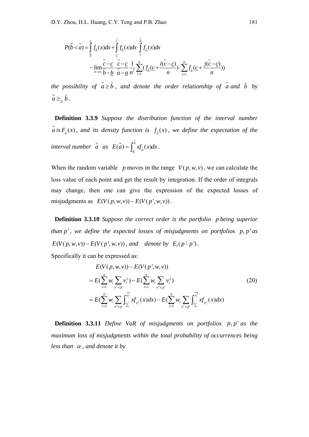$$
P(\tilde{b} < \tilde{a}) = \int_{\underline{b}}^{\underline{c}} f_{\tilde{b}}(x) dx + \int_{\underline{c}}^{\overline{c}} f_{\tilde{b}}(x) dx \cdot \int_{\underline{c}}^{\overline{a}} f_{\tilde{a}}(x) dx
$$
\n
$$
-\lim_{n \to \infty} \frac{\overline{c} - \underline{c}}{\overline{b} - \underline{b}} \cdot \frac{\overline{c} - \underline{c}}{\overline{a} - \underline{a}} \cdot \frac{1}{n^2} \sum_{i=1}^{n} (f_{\tilde{b}}(\underline{c} + \frac{i(\overline{c} - \underline{c})}{n}) \cdot \sum_{j=i}^{n} f_{\tilde{a}}(\underline{c} + \frac{j(\overline{c} - \underline{c})}{n}))
$$

*the possibility of*  $\tilde{a} \geq \tilde{b}$ , and denote the order relationship of  $\tilde{a}$  and  $\tilde{b}$  by  $\tilde{a} \geq b$ .

**Definition 3.3.9** *Suppose the distribution function of the interval number*   $\tilde{a}$  *is*  $F_{\tilde{a}}(x)$ , and its density function is  $f_{\tilde{a}}(x)$ , we define the expectation of the *interval number*  $\tilde{a}$  *as*  $E(\tilde{a}) = \int_a^a x f_{\tilde{a}}(x) dx$ .

When the random variable *p* moves in the range  $V(p, w, v)$ , we can calculate the loss value of each point and get the result by integration. If the order of integrals may change, then one can give the expression of the expected losses of misjudgments as  $E(V(p, w, v)) - E(V(p', w, v))$ .

**Definition 3.3.10** *Suppose the correct order is the portfolio p being superior than*  $p'$ , we define the expected losses of misjudgments on portfolios p, p'as  $E(V(p, w, v)) - E(V(p', w, v))$ , and denote by  $E_i(p \nmid p')$ .

Specifically it can be expressed as:

$$
E(V(p, w, v)) - E(V(p', w, v))
$$
  
=  $E(\sum_{i=1}^{n} w_i \sum_{x^j \in p} v_i^j) - E(\sum_{i=1}^{n} w_i \sum_{x^j \in p} v_i^j)$   
=  $E(\sum_{i=1}^{n} w_i \sum_{x^j \in p} \int_{\frac{v^j}{2}}^{\frac{v^j}{2}} xf_{v^j}(x) dx) - E(\sum_{i=1}^{n} w_i \sum_{x^j \in p^i} \int_{\frac{v^j}{2}}^{\frac{v^j}{2}} xf_{v^j}(x) dx)$  (20)

**Definition 3.3.11** *Define VaR of misjudgments on portfolios p, p' as the maximum loss of misjudgments within the total probability of occurrences being less than*  $\alpha$ *, and denote it by*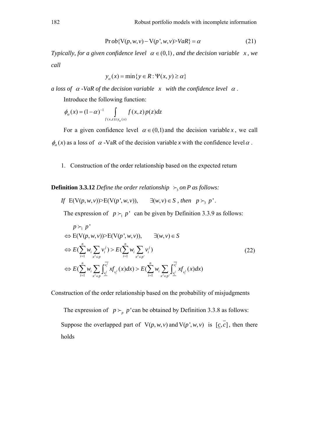$$
Prob{V(p, w, v) - V(p', w, v)} > VaR = \alpha
$$
\n(21)

*Typically, for a given confidence level*  $\alpha \in (0,1)$ *, and the decision variable x, we call* 

$$
y_{\alpha}(x) = \min\{y \in R : \Psi(x, y) \ge \alpha\}
$$

*a loss of*  $\alpha$  *-VaR of the decision variable x with the confidence level*  $\alpha$ *.* 

Introduce the following function:

$$
\phi_{\alpha}(x) = (1 - \alpha)^{-1} \int\limits_{f(x,z) \geq y_{\alpha}(x)} f(x,z) p(z) dz
$$

For a given confidence level  $\alpha \in (0,1)$  and the decision variable *x*, we call  $\phi_{\alpha}(x)$  as a loss of  $\alpha$ -VaR of the decision variable *x* with the confidence level  $\alpha$ .

### 1. Construction of the order relationship based on the expected return

**Definition 3.3.12** *Define the order relationship*  $\succ$ <sub>3</sub> *on P as follows:* 

If 
$$
E(V(p, w, v)) > E(V(p', w, v)), \quad \exists (w, v) \in S
$$
, then  $p \succ_3 p'.$ 

The expression of  $p \succ_1 p'$  can be given by Definition 3.3.9 as follows:

$$
p \succ_1 p'
$$
  
\n
$$
\Leftrightarrow E(V(p, w, v)) \succ E(V(p', w, v)), \qquad \exists (w, v) \in S
$$
  
\n
$$
\Leftrightarrow E(\sum_{i=1}^n w_i \sum_{x^j \in p} v_i^j) > E(\sum_{i=1}^n w_i \sum_{x^j \in p} v_i^j)
$$
  
\n
$$
\Leftrightarrow E(\sum_{i=1}^n w_i \sum_{x^j \in p} \int_{\frac{v_i^j}{2}}^{\frac{v_i^j}{2}} xf_{v_i^j}(x) dx) > E(\sum_{i=1}^n w_i \sum_{x^j \in p^i} \int_{\frac{v_i^j}{2}}^{\frac{v_i^j}{2}} xf_{v_i^j}(x) dx)
$$
\n(22)

Construction of the order relationship based on the probability of misjudgments

The expression of  $p \succ_p p$  'can be obtained by Definition 3.3.8 as follows: Suppose the overlapped part of  $V(p, w, v)$  and  $V(p', w, v)$  is  $[c, c]$ , then there holds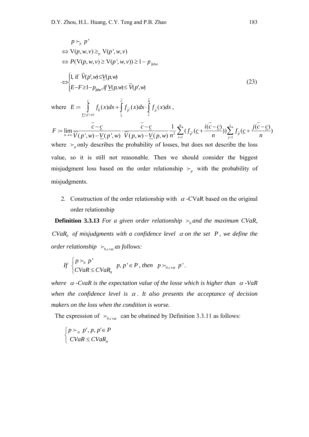$$
p \succ_{p} p'
$$
  
\n
$$
\Leftrightarrow V(p, w, v) \geq_{p} V(p', w, v)
$$
  
\n
$$
\Leftrightarrow P(V(p, w, v) \geq V(p', w, v)) \geq 1 - p_{\text{false}}
$$
  
\n
$$
\Leftrightarrow \begin{cases} 1, \text{ if } \overline{V}(p', w) \leq \underline{V}(p, w) \\ E - F \geq 1 - p_{\text{false}}, \text{ if } \underline{V}(p, w) \leq \overline{V}(p', w) \end{cases}
$$
\n(23)

where  $E := \int_{\frac{V(p',w)}{c}} f_{\tilde{b}}(x) dx + \int_{c} f_{\tilde{p}}(x) dx \cdot \int_{c} f_{\tilde{p}}$  $\dot{f}_\tau(x) = \int_{\tilde{h}} f(x) dx + \int_{\tilde{h}} f(x) dx \cdot \int_{\tilde{h}} f(x) dx$  $\overline{c}$  *c a*  $b^{(x)}$  *b*  $\int f_p(x) dx$  **j**  $\int f_p(x) dx$  $E := \int\limits_{V(p',w)} f_{\tilde{b}}(x) dx + \int\limits_{\varepsilon} f_{\tilde{p}'}(x) dx \cdot \int\limits_{c} f_{\tilde{p}}(x) dx,$ 

$$
F := \lim_{n \to \infty} \frac{\overline{c} - \underline{c}}{\overline{V}(p', w) - \underline{V}(p', w)} \cdot \frac{\overline{c} - \underline{c}}{\overline{V}(p, w) - \underline{V}(p, w)} \frac{1}{n^2} \sum_{i=1}^n (f_{\widetilde{p}'}(\underline{c} + \frac{i(\overline{c} - \underline{c})}{n})) \sum_{j=1}^i f_{\widetilde{p}}(\underline{c} + \frac{j(\overline{c} - \underline{c})}{n})
$$

where  $\mu_p$  only describes the probability of losses, but does not describe the loss value, so it is still not reasonable. Then we should consider the biggest misjudgment loss based on the order relationship  $\succ_{p}$  with the probability of misjudgments.

2. Construction of the order relationship with  $\alpha$ -CVaR based on the original order relationship

**Definition 3.3.13** For a given order relationship  $\succ_0$  and the maximum CVaR,  $CVaR<sub>0</sub>$  *of misjudgments with a confidence level*  $\alpha$  *on the set P, we define the order relationship*  $\succ_{0, \text{cvar}}$  *as follows:* 

If 
$$
\begin{cases} p \succ_0 p' \\ CVaR \le CVaR_0 \end{cases}
$$
  $p, p' \in P$ , then  $p \succ_{0, c \text{var}} p'.$ 

*where*  $\alpha$  -CvaR is the expectation value of the losse which is higher than  $\alpha$  -VaR *when the confidence level is*  $\alpha$ *. It also presents the acceptance of decision makers on the loss when the condition is worse.*

The expression of  $\succ_{0, \text{cvar}}$  can be obatined by Definition 3.3.11 as follows:

$$
\begin{cases}\n p \succ_0 p', p, p' \in P \\
 CVaR \le CVaR_0\n\end{cases}
$$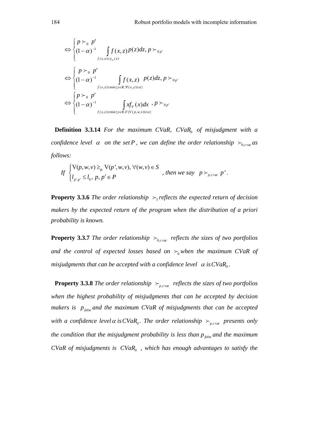$$
\Leftrightarrow \begin{cases} p \succ_0 p' \\ (1-\alpha)^{-1} \int f(x, z) p(z) dz, p \succ_0_p, \\ \Leftrightarrow \begin{cases} p \succ_0 p' \\ (1-\alpha)^{-1} \int f(x, z) p(z) dz, p \succ_0_p, \\ \int f(x, z) \ge \min\{y \in R, \Psi(x, y) \ge \alpha\} \end{cases} \\ \Leftrightarrow \begin{cases} p \succ_0 p' \\ (1-\alpha)^{-1} \int f(x, z) p(x) dx, p \succ_0_p, \\ \int f(x, z) \ge \min\{y \in R, F(V(p, w, y)) \ge \alpha\} \end{cases}
$$

**Definition 3.3.14** *For the maximum CVaR, CVaR<sub>0</sub> of misjudgment with a confidence level*  $\alpha$  *on the set P, we can define the order relationship*  $\succ_{0, \text{cvar}}$  *as follows:* 

If 
$$
\begin{cases} V(p, w, v) \geq_{p} V(p', w, v), \forall (w, v) \in S \\ l_{p \setminus p'} \leq l_{0}, p, p' \in P \end{cases}
$$
, then we say  $p \succ_{p, \text{cur}} p'$ .

**Property 3.3.6** *The order relationship*  $\succ$  *reflects the expected return of decision makers by the expected return of the program when the distribution of a priori probability is known.*

**Property 3.3.7** *The order relationship*  $\succ_{0, \text{cvar}}$  *reflects the sizes of two portfolios and the control of expected losses based on*  $\succ_0$  when the maximum CVaR of *misjudgments that can be accepted with a confidence level*  $\alpha$  *is CVaR<sub>0</sub>.* 

**Property 3.3.8** *The order relationship*  $\rightarrow$ <sub>*p,cvar</sub> reflects the sizes of two portfolios*</sub> *when the highest probability of misjudgments that can be accepted by decision makers is*  $p_{\text{false}}$  *and the maximum CVaR of misjudgments that can be accepted with a confidence level*  $\alpha$  *is CVaR*<sub>0</sub>. The order relationship  $\succ_{p,c \text{var}}$  presents only *the condition that the misjudgment probability is less than*  $p_{\text{false}}$  *and the maximum CVaR of misjudgments is*  $CVaR_0$ *, which has enough advantages to satisfy the*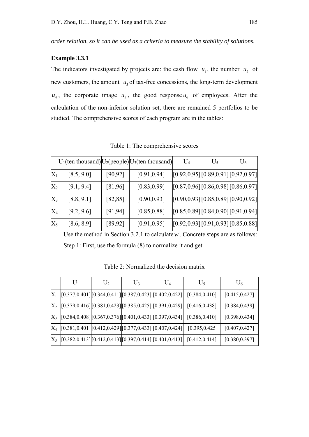*order relation, so it can be used as a criteria to measure the stability of solutions.*

#### **Example 3.3.1**

The indicators investigated by projects are: the cash flow  $u_1$ , the number  $u_2$  of new customers, the amount  $u_3$  of tax-free concessions, the long-term development  $u_4$ , the corporate image  $u_5$ , the good response  $u_6$  of employees. After the calculation of the non-inferior solution set, there are remained 5 portfolios to be studied. The comprehensive scores of each program are in the tables:

|                |            |          | $ U_1$ (ten thousand) U <sub>2</sub> (people) U <sub>3</sub> (ten thousand) | $U_4$ | $U_5$ | $U_6$                                 |
|----------------|------------|----------|-----------------------------------------------------------------------------|-------|-------|---------------------------------------|
| $\rm X_1$      | [8.5, 9.0] | [90, 92] | [0.91, 0.94]                                                                |       |       | [0.92, 0.95][0.89, 0.91][0.92, 0.97]  |
| $\rm X_2$      | [9.1, 9.4] | [81,96]  | [0.83, 0.99]                                                                |       |       | $[0.87, 0.96]$ [0.86,0.98][0.86,0.97] |
| $\mathrm{X}_3$ | [8.8, 9.1] | [82, 85] | [0.90, 0.93]                                                                |       |       | [0.90, 0.93][0.85, 0.89][0.90, 0.92]  |
| $\rm X_4$      | [9.2, 9.6] | [91, 94] | [0.85, 0.88]                                                                |       |       | [0.85, 0.89][0.84, 0.90][0.91, 0.94]  |
| $\mathrm{X}_5$ | [8.6, 8.9] | [89, 92] | [0.91, 0.95]                                                                |       |       | [0.92, 0.93][0.91, 0.93][0.85, 0.88]  |

Table 1: The comprehensive scores

Use the method in Section 3.2.1 to calculate*w* . Concrete steps are as follows: Step 1: First, use the formula (8) to normalize it and get

|       | $U_1$ | $U_2$ | $U_3$ | $\rm U_4$                                                                  | $U_5$                                                                                           | $U_6$          |
|-------|-------|-------|-------|----------------------------------------------------------------------------|-------------------------------------------------------------------------------------------------|----------------|
| $X_1$ |       |       |       | $[0.377, 0.401]$ $[0.344, 0.411]$ $[0.387, 0.423]$ $[0.402, 0.422]$        | [0.384, 0.410]                                                                                  | [0.415, 0.427] |
|       |       |       |       | $[X_2 \ [0.379, 0.416]\ [0.381, 0.423]\ [0.385, 0.425]\ [0.391, 0.429]\]$  | [0.416, 0.438]                                                                                  | [0.384, 0.439] |
|       |       |       |       | $[X_3 \; [[0.384, 0.408] [[0.367, 0.376] [[0.401, 0.433] [[0.397, 0.434]]$ | [0.386, 0.410]                                                                                  | [0.398, 0.434] |
|       |       |       |       | $[X_4 \ [0.381, 0.401] [0.412, 0.429] [0.377, 0.433] [0.407, 0.424]$       | [0.395, 0.425]                                                                                  | [0.407, 0.427] |
|       |       |       |       |                                                                            | $[X_5 \,[[0.382, 0.413] \,][0.412, 0.413] \,][0.397, 0.414] \,][0.401, 0.413] \,[0.412, 0.414]$ | [0.380, 0.397] |

Table 2: Normalized the decision matrix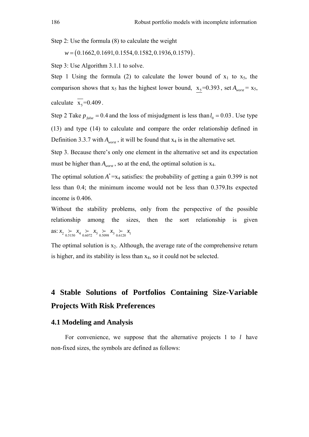Step 2: Use the formula (8) to calculate the weight

*w* = (0.1662, 0.1691, 0.1554, 0.1582, 0.1936, 0.1579).

Step 3: Use Algorithm 3.1.1 to solve.

Step 1 Using the formula (2) to calculate the lower bound of  $x_1$  to  $x_5$ , the comparison shows that  $x_5$  has the highest lower bound,  $x_5 = 0.393$ , set  $A_{worst} = x_5$ , calculate  $\overline{x_s} = 0.409$ .

Step 2 Take  $p_{false} = 0.4$  and the loss of misjudgment is less than  $l_0 = 0.03$ . Use type (13) and type (14) to calculate and compare the order relationship defined in Definition 3.3.7 with  $A_{worst}$ , it will be found that  $x_4$  is in the alternative set.

Step 3. Because there's only one element in the alternative set and its expectation must be higher than  $A_{\text{worst}}$ , so at the end, the optimal solution is x<sub>4</sub>.

The optimal solution  $A^* = x_4$  satisfies: the probability of getting a gain 0.399 is not less than 0.4; the minimum income would not be less than 0.379.Its expected income is 0.406.

Without the stability problems, only from the perspective of the possible relationship among the sizes, then the sort relationship is given as:  $x_2 \nightharpoonup x_4 \nightharpoonup x_5 \nightharpoonup x_3 \nightharpoonup x_1$ <br>0.6120  $x_1$ 

The optimal solution is  $x_2$ . Although, the average rate of the comprehensive return is higher, and its stability is less than x4, so it could not be selected.

# **4 Stable Solutions of Portfolios Containing Size-Variable Projects With Risk Preferences**

## **4.1 Modeling and Analysis**

 For convenience, we suppose that the alternative projects 1 to *l* have non-fixed sizes, the symbols are defined as follows: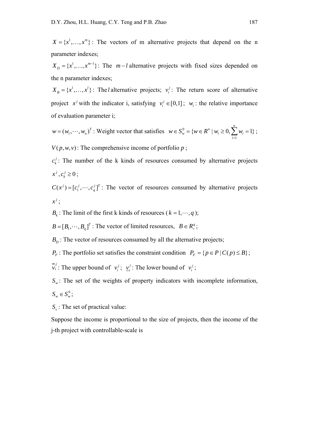$X = \{x^1, \dots, x^m\}$ : The vectors of m alternative projects that depend on the n parameter indexes;

 $X_D = \{x^1, \dots, x^{m-l}\}\$ : The  $m-l$  alternative projects with fixed sizes depended on the n parameter indexes;

 $X_B = \{x^1, \dots, x^l\}$ : The *l* alternative projects;  $v_i^j$ : The return score of alternative project  $x^j$  with the indicator i, satisfying  $v_i^j \in [0,1]$ ;  $w_i$ : the relative importance of evaluation parameter i;

 $w = (w_1, \dots, w_n)^T$ : Weight vector that satisfies  $w \in S_n^0$ 1  ${w \in R^n \mid w_i \ge 0, \sum_{i=1}^{n} w_i = 1}$  $w = \nu w \in \mathbb{R}$  |  $w_i \leq v_i \leq w_i$ *i*  $w \in S_w^0 = \{w \in R^n \mid w_i \ge 0, \sum w_i\}$  $\in S_w^0 = \{w \in R^n \mid w_i \ge 0, \sum_{i=1}^n w_i = 1\}$ ;

 $V(p, w, v)$ : The comprehensive income of portfolio *p*;

 $c_k^j$ : The number of the k kinds of resources consumed by alternative projects  $x^j, c_k^j \ge 0$ ;

 $C(x^{j}) = [c_1^{j}, \cdots, c_q^{j}]^{T}$ : The vector of resources consumed by alternative projects  $x^j$ ;

 $B_k$ : The limit of the first k kinds of resources ( $k = 1, \dots, q$ );

 $B = [B_1, \dots, B_a]^T$ : The vector of limited resources,  $B \in R_+^q$ ;

 $B<sub>D</sub>$ : The vector of resources consumed by all the alternative projects;

 $P_F$ : The portfolio set satisfies the constraint condition  $P_F = \{ p \in P \mid C(p) \leq B \}$ ;

 $\overline{v_i}^j$ : The upper bound of *v<sub>i</sub>*<sup>;</sup> *y*<sub>*i*</sub><sup>*i*</sup>: The lower bound of *v<sub>i</sub>*<sup>*i*</sup>;

 $S_{\omega}$ : The set of the weights of property indicators with incomplete information,  $S_w \in S_w^0;$ 

*S*<sub>*i*</sub>: The set of practical value:

Suppose the income is proportional to the size of projects, then the income of the j-th project with controllable-scale is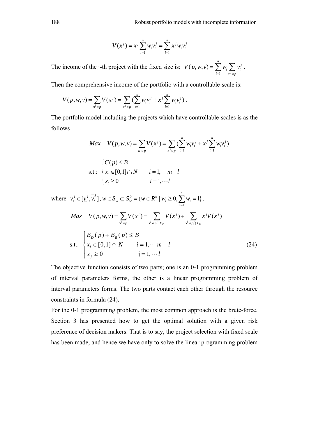$$
V(x^{j}) = x^{j} \sum_{i=1}^{n} w_{i} v_{i}^{j} = \sum_{i=1}^{n} x^{j} w_{i} v_{i}^{j}
$$

The income of the j-th project with the fixed size is: 1  $(p, w, v) = \sum_{i=1}^{n} w_i$  $\sum_{i=1}^n$   $\sum_{i=1}^n$ *i i*  $i=1$   $x^j \in p$  $V(p, w, v) = \sum w_i \sum v_i$  $= \sum_{i=1} w_i \sum_{x^j \in p} v_i^j .$ 

Then the comprehensive income of the portfolio with a controllable-scale is:

$$
V(p, w, v) = \sum_{x^{j} \in p} V(x^{j}) = \sum_{x^{j} \in p} \left( \sum_{t=1}^{n} w_{t} v_{t}^{j} + x^{j} \sum_{i=1}^{n} w_{i} v_{i}^{j} \right).
$$

The portfolio model including the projects which have controllable-scales is as the follows

$$
Max \quad V(p, w, v) = \sum_{x^{j} \in p} V(x^{j}) = \sum_{x^{j} \in p} (\sum_{t=1}^{n} w_{t}v_{t}^{j} + x^{j} \sum_{i=1}^{n} w_{i}v_{i}^{j})
$$
  
s.t.: 
$$
\begin{cases} C(p) \le B \\ x_{i} \in [0, 1] \cap N & i = 1, \dots m - l \\ x_{i} \ge 0 & i = 1, \dots l \end{cases}
$$

where  $v_i^j \in [\underline{v}_i^j, \overline{v}_i^j]$ ,  $w \in S_w \subseteq S_w^0$ 1  ${w \in R^n \mid w_i \ge 0, \sum_{i=1}^{n} w_i = 1}$  $w = v_w - \nu w = \nu$  |  $w_i = v, \nu_i$ *i*  $w \in S_w \subseteq S_w^0 = \{w \in R^n \mid w_i \ge 0, \sum w_i\}$  $\in S_w \subseteq S_w^0 = \{ w \in R^n \mid w_i \ge 0, \sum_{i=1} w_i = 1 \}$ .  $V(p, w, v) = \sum V(x^{j}) = \sum V(x^{j}) + \sum x^{j}V(x^{j})$ *D*  $X \in p \mid |A|_B$  $j = \nabla U(x) + \nabla xU(x)$  $p$   $\mathsf{x}^{\mathsf{J}} \in p \cap X_D$   $\mathsf{x}^{\mathsf{J}} \in p \cap X$ *Max*  $V(p, w, v) = \sum_{i} V(x^{i}) = \sum_{i} V(x^{i}) + \sum_{i} x^{i} V(x^{i})$  $=\sum_{x^j\in p}V(x^j)=\sum_{x^j\in p\cap X_p}V(x^j)+\sum_{x^j\in p\cap X}$ s.t.:  $(p) + B<sub>B</sub>(p) \leq B$  $[0,1] \cap N$   $i = 1,$ 0  $j = 1$ ,  $D(P)$   $\rightarrow$   $B_B$ *i j*  $B_p(p) + B_p(p) \leq B$  $x_i \in [0,1] \cap N$   $i = 1, \dots m - l$  $x_i \geq 0$   $j = 1, \dots l$  $\Big|B_{D}(p)+B_{B}(p)\leq$  $\left\{ x_i \in [0,1] \cap N \right.$   $i = 1, \cdots m$  $x_j \ge 0$  j=  $\cdots$  $\ldots$ (24)

The objective function consists of two parts; one is an 0-1 programming problem of interval parameters forms, the other is a linear programming problem of interval parameters forms. The two parts contact each other through the resource constraints in formula (24).

For the 0-1 programming problem, the most common approach is the brute-force. Section 3 has presented how to get the optimal solution with a given risk preference of decision makers. That is to say, the project selection with fixed scale has been made, and hence we have only to solve the linear programming problem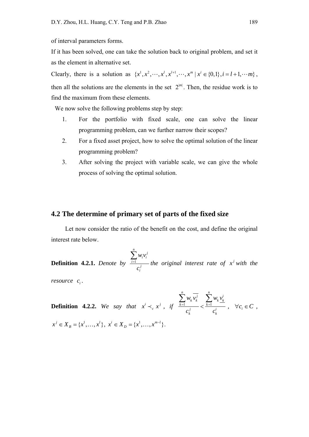of interval parameters forms.

If it has been solved, one can take the solution back to original problem, and set it as the element in alternative set.

Clearly, there is a solution as  $\{x^1, x^2, \dots, x^l, x^{l+1}, \dots, x^m | x^i \in \{0,1\}, i = l+1, \dotsm \}$ , then all the solutions are the elements in the set  $2^{|m|}$ . Then, the residue work is to find the maximum from these elements.

We now solve the following problems step by step:

- 1. For the portfolio with fixed scale, one can solve the linear programming problem, can we further narrow their scopes?
- 2. For a fixed asset project, how to solve the optimal solution of the linear programming problem?
- 3. After solving the project with variable scale, we can give the whole process of solving the optimal solution.

## **4.2 The determine of primary set of parts of the fixed size**

 Let now consider the ratio of the benefit on the cost, and define the original interest rate below.

**Definition 4.2.1.** Denote by  $\frac{i=1}{i}$  $\sum_{i=1}^n$ *i i i j i*  $w_i v$ *c*  $\sum_{i=1}$ *the original interest rate of*  $x<sup>j</sup>$  *with the* 

*resource*  $c_i$ .

**Definition 4.2.2.** We say that  $x^{i} \prec_{c} x^{j}$ , if  $\frac{k=1}{i} \prec \frac{k=1}{i}$  $\sum_{i=1}^n$   $\sum_{j=1}^n$   $\sum_{j=1}^n$  *n*  $k \kappa \sum_{k} w_k \kappa_k$  $k=1$   $\qquad \qquad \swarrow k$ *j i k k*  $w_{\nu}v_{\nu}^j=\sum_{\nu}\psi_{\nu}v_{\nu}$  $c_k^j$  *c*  $\frac{1}{i}$  <  $\frac{k}{i}$  $\sum w_k v_k^j - \sum$ *,*  $\forall c_i \in C$ ,  $x^j \in X_B = \{x^1, \ldots, x^l\}, x^i \in X_D = \{x^1, \ldots, x^{m-l}\}.$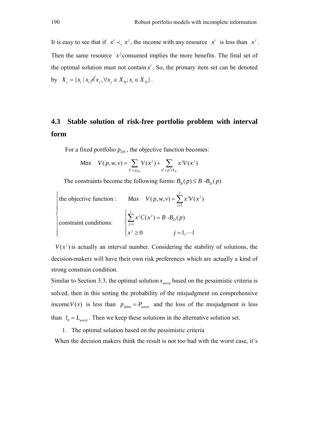It is easy to see that if  $x^{i} \prec_{c} x^{j}$ , the income with any resource  $x^{i}$  is less than  $x^{j}$ . Then the same resource  $x^j$  consumed implies the more benefits. The final set of the optimal solution must not contain  $x^i$ . So, the primary item set can be denoted by  $X_c = \{ x_i \mid x_i \nless x_i, \forall x_i \in X_n \, ; x_i \in X_n \}$ .

# **4.3 Stable solution of risk-free portfolio problem with interval form**

For a fixed portfolio  $p_{p0}$ , the objective function becomes:

$$
Max \quad V(p, w, v) = \sum_{\mathbf{x}^j \in p_{D0}} V(x^j) + \sum_{\mathbf{x}^j \in p \cap X_B} x^j V(x^j)
$$

The constraints become the following forms:  $B_B(p) \leq B - B_D(p)$ 

\n The objective function: \n 
$$
\text{Max } V(p, w, v) = \sum_{i=1}^{l} x^j V(x^j)
$$
\n

\n\n constraint conditions: \n  $\begin{cases} \n \sum_{j=1}^{l} x^j C(x^j) = B - B_D(p) \\
 x^j \geq 0\n \end{cases}$ \n

\n\n  $j = 1, \dots, l$ \n

 $V(x<sup>j</sup>)$  is actually an interval number. Considering the stability of solutions, the decision-makers will have their own risk preferences which are actually a kind of strong constrain condition.

Similar to Section 3.3, the optimal solution  $x_{worst}$  based on the pessimistic criteria is solved, then in this setting the probability of the misjudgment on comprehensive income  $V(x)$  is less than  $p_{false} = P_{worst}$  and the loss of the misjudgment is less than  $l_0 = L_{\text{worst}}$ . Then we keep these solutions in the alternative solution set.

1. The optimal solution based on the pessimistic criteria

When the decision makers think the result is not too bad with the worst case, it's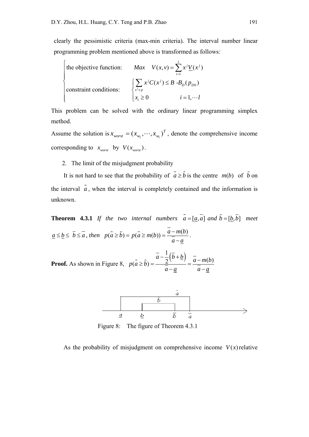clearly the pessimistic criteria (max-min criteria). The interval number linear programming problem mentioned above is transformed as follows:

\n The objective function: \n 
$$
\text{Max } V(x, v) = \sum_{i=1}^{l} x^j \underline{V}(x^i)
$$
\n

\n\n constraint conditions: \n  $\begin{cases} \n \sum_{x^i \in p} x^j C(x^i) \leq B - B_D(p_{D0}) \\ \n x_i \geq 0 \n \end{cases}$ \n \n  $i = 1, \dots, l$ \n

This problem can be solved with the ordinary linear programming simplex method.

Assume the solution is  $x_{worst} = (x_{w_1}, \dots, x_{w_l})^T$ , denote the comprehensive income corresponding to  $x_{worst}$  by  $V(x_{worst})$ .

2. The limit of the misjudgment probability

It is not hard to see that the probability of  $\tilde{a} \geq \tilde{b}$  is the centre  $m(b)$  of  $\tilde{b}$  on the interval  $\tilde{a}$ , when the interval is completely contained and the information is unknown.

**Theorem 4.3.1** If the two internal numbers  $\tilde{a} = [\underline{a}, \overline{a}]$  and  $\tilde{b} = [\underline{b}, \overline{b}]$  meet  $a \le b \le \overline{b} \le \overline{a}$ , then  $p(\tilde{a} \ge \tilde{b}) = p(\tilde{a} \ge m(b)) = \frac{a - m(b)}{a}$  $\geq \tilde{b}$ ) =  $p(\tilde{a} \geq m(b)) = \frac{a - m(b)}{\overline{a} - a}$ .

**Proof.** As shown in Figure 8,  $p(\tilde{a} \ge \tilde{b}) = \frac{\overline{a} - \frac{1}{2}(\overline{b} + \underline{b})}{\overline{a}} = \frac{\overline{a} - m(b)}{\overline{a}}$  $\geq \tilde{b}$ ) =  $\frac{a-\frac{1}{2}(b+b)}{a-a}$  =  $\frac{a-m}{a-a}$  $\tilde{k}$ 



Figure 8: The figure of Theorem 4.3.1

As the probability of misjudgment on comprehensive income  $V(x)$  relative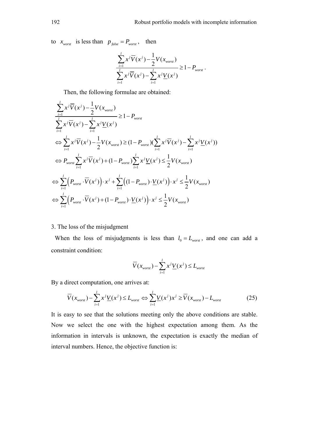to  $x_{worst}$  is less than  $p_{false} = P_{worst}$ , then

$$
\frac{\sum_{i=1}^{l} x^{j} \overline{V}(x^{j}) - \frac{1}{2} V(x_{worst})}{\sum_{i=1}^{l} x^{j} \overline{V}(x^{j}) - \sum_{i=1}^{l} x^{j} \underline{V}(x^{j})} \ge 1 - P_{worst}.
$$

Then, the following formulae are obtained:

$$
\sum_{i=1}^{l} x^{j} \overline{V}(x^{j}) - \frac{1}{2} V(x_{worst})
$$
\n
$$
\sum_{i=1}^{l} x^{j} \overline{V}(x^{j}) - \sum_{i=1}^{l} x^{j} \underline{V}(x^{j})
$$
\n
$$
\Leftrightarrow \sum_{i=1}^{l} x^{j} \overline{V}(x^{j}) - \frac{1}{2} V(x_{worst}) \ge (1 - P_{worst}) (\sum_{i=1}^{l} x^{j} \overline{V}(x^{j}) - \sum_{i=1}^{l} x^{j} \underline{V}(x^{i}))
$$
\n
$$
\Leftrightarrow P_{worst} \sum_{i=1}^{l} x^{j} \overline{V}(x^{j}) + (1 - P_{worst}) \sum_{i=1}^{l} x^{j} \underline{V}(x^{j}) \le \frac{1}{2} V(x_{worst})
$$
\n
$$
\Leftrightarrow \sum_{i=1}^{l} \Big( P_{worst} \cdot \overline{V}(x^{j}) \Big) \cdot x^{j} + \sum_{i=1}^{l} \Big( (1 - P_{worst}) \cdot \underline{V}(x^{j}) \Big) \cdot x^{j} \le \frac{1}{2} V(x_{worst})
$$
\n
$$
\Leftrightarrow \sum_{i=1}^{l} \Big( P_{worst} \cdot \overline{V}(x^{j}) + (1 - P_{worst}) \cdot \underline{V}(x^{j}) \Big) \cdot x^{j} \le \frac{1}{2} V(x_{worst})
$$

### 3. The loss of the misjudgment

When the loss of misjudgments is less than  $l_0 = L_{worst}$ , and one can add a constraint condition:

$$
\overline{V}(x_{\text{worst}}) - \sum_{i=1}^{l} x^{j} \underline{V}(x^{j}) \le L_{\text{worst}}
$$

By a direct computation, one arrives at:

$$
\overline{V}(x_{worst}) - \sum_{i=1}^{l} x^{j} \underline{V}(x^{i}) \le L_{worst} \Leftrightarrow \sum_{i=1}^{l} \underline{V}(x^{i}) x^{j} \ge \overline{V}(x_{worst}) - L_{worst}
$$
(25)

It is easy to see that the solutions meeting only the above conditions are stable. Now we select the one with the highest expectation among them. As the information in intervals is unknown, the expectation is exactly the median of interval numbers. Hence, the objective function is: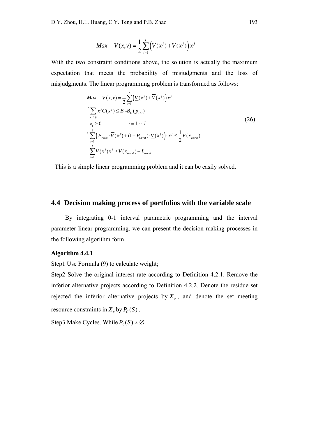$$
Max \quad V(x,v) = \frac{1}{2} \sum_{i=1}^{l} \left( \underline{V}(x^{i}) + \overline{V}(x^{i}) \right) x^{i}
$$

With the two constraint conditions above, the solution is actually the maximum expectation that meets the probability of misjudgments and the loss of misjudgments. The linear programming problem is transformed as follows:

$$
Max \quad V(x,v) = \frac{1}{2} \sum_{i=1}^{l} \Big( \underline{V}(x^{j}) + \overline{V}(x^{j}) \Big) x^{j}
$$
\n
$$
\Biggl\{ \sum_{x^{j} \in p} x^{j} C(x^{j}) \leq B - B_{D}(p_{D0})
$$
\n
$$
i = 1, \cdots l
$$
\n
$$
\Biggl\{ \sum_{i=1}^{l} \Bigl( P_{worst} \cdot \overline{V}(x^{j}) + (1 - P_{worst}) \cdot \underline{V}(x^{j}) \Bigr) \cdot x^{j} \leq \frac{1}{2} V(x_{worst})
$$
\n
$$
\Biggl\{ \sum_{i=1}^{l} \underline{V}(x^{j}) x^{j} \geq \overline{V}(x_{worst}) - L_{worst}
$$
\n
$$
(26)
$$

This is a simple linear programming problem and it can be easily solved.

## **4.4 Decision making process of portfolios with the variable scale**

 By integrating 0-1 interval parametric programming and the interval parameter linear programming, we can present the decision making processes in the following algorithm form.

## **Algorithm 4.4.1**

Step1 Use Formula (9) to calculate weight;

Step2 Solve the original interest rate according to Definition 4.2.1. Remove the inferior alternative projects according to Definition 4.2.2. Denote the residue set rejected the inferior alternative projects by  $X_c$ , and denote the set meeting resource constraints in  $X_c$  by  $P_c(S)$ .

Step3 Make Cycles. While  $P_C(S) \neq \emptyset$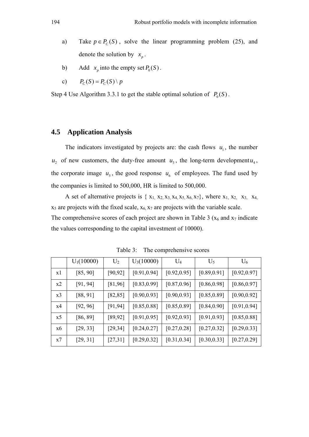- a) Take  $p \in P_C(S)$ , solve the linear programming problem (25), and denote the solution by  $x_n$ .
- b) Add  $x_p$  into the empty set  $P_0(S)$ .
- c)  $P_C(S) = P_C(S) \setminus p$

Step 4 Use Algorithm 3.3.1 to get the stable optimal solution of  $P_0(S)$ .

# **4.5 Application Analysis**

The indicators investigated by projects are: the cash flows  $u_1$ , the number  $u_2$  of new customers, the duty-free amount  $u_3$ , the long-term development  $u_4$ , the corporate image  $u_5$ , the good response  $u_6$  of employees. The fund used by the companies is limited to 500,000, HR is limited to 500,000.

A set of alternative projects is  $\{x_1, x_2, x_3, x_4, x_5, x_6, x_7\}$ , where  $x_1, x_2, x_3, x_4, x_6, x_7\}$  $x<sub>5</sub>$  are projects with the fixed scale,  $x<sub>6</sub>, x<sub>7</sub>$  are projects with the variable scale. The comprehensive scores of each project are shown in Table 3 ( $x_6$  and  $x_7$  indicate the values corresponding to the capital investment of 10000).

|    | $U_1(10000)$ | $U_2$    | $U_3(10000)$ | $U_4$        | $U_5$        | $U_6$        |
|----|--------------|----------|--------------|--------------|--------------|--------------|
| x1 | [85, 90]     | [90, 92] | [0.91, 0.94] | [0.92, 0.95] | [0.89, 0.91] | [0.92, 0.97] |
| x2 | [91, 94]     | [81,96]  | [0.83, 0.99] | [0.87, 0.96] | [0.86, 0.98] | [0.86, 0.97] |
| x3 | [88, 91]     | [82, 85] | [0.90, 0.93] | [0.90, 0.93] | [0.85, 0.89] | [0.90, 0.92] |
| x4 | [92, 96]     | [91, 94] | [0.85, 0.88] | [0.85, 0.89] | [0.84, 0.90] | [0.91, 0.94] |
| x5 | [86, 89]     | [89, 92] | [0.91, 0.95] | [0.92, 0.93] | [0.91, 0.93] | [0.85, 0.88] |
| x6 | [29, 33]     | [29, 34] | [0.24, 0.27] | [0.27, 0.28] | [0.27, 0.32] | [0.29, 0.33] |
| x7 | [29, 31]     | [27,31]  | [0.29, 0.32] | [0.31, 0.34] | [0.30, 0.33] | [0.27, 0.29] |

Table 3: The comprehensive scores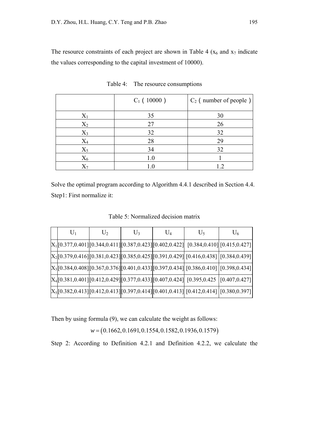The resource constraints of each project are shown in Table 4 ( $x_6$  and  $x_7$  indicate the values corresponding to the capital investment of 10000).

|                | $C_1$ (10000) | $C_2$ (number of people) |
|----------------|---------------|--------------------------|
| $\mathrm{X}_1$ | 35            | 30                       |
| $X_2$          | 27            | 26                       |
| $X_3$          | 32            | 32                       |
| $\rm X_4$      | 28            | 29                       |
| $X_5$          | 34            | 32                       |
| $X_6$          | 1.0           |                          |
|                |               | 19                       |

Table 4: The resource consumptions

Solve the optimal program according to Algorithm 4.4.1 described in Section 4.4. Step1: First normalize it:

Table 5: Normalized decision matrix

| $U_1$ | $U_2$ | $U_3$ | $U_4$ | $U_5$                                                                                      | $U_6$ |
|-------|-------|-------|-------|--------------------------------------------------------------------------------------------|-------|
|       |       |       |       | $[X_1$ [0.377,0.401][0.344,0.411][0.387,0.423][0.402,0.422]] [0.384,0.410][0.415,0.427]]   |       |
|       |       |       |       | $[X_2$ [0.379,0.416][0.381,0.423][0.385,0.425][0.391,0.429]] [0.416,0.438] [0.384,0.439]]  |       |
|       |       |       |       | $[X_3[0.384, 0.408][0.367, 0.376][0.401, 0.433][0.397, 0.434][0.386, 0.410][0.398, 0.434]$ |       |
|       |       |       |       | $[X_4[0.381, 0.401][0.412, 0.429][0.377, 0.433][0.407, 0.424][0.395, 0.425][0.407, 0.427]$ |       |
|       |       |       |       | $[X_5[0.382, 0.413][0.412, 0.413][0.397, 0.414][0.401, 0.413][0.412, 0.414][0.380, 0.397]$ |       |

Then by using formula (9), we can calculate the weight as follows:

*w* = (0.1662, 0.1691, 0.1554, 0.1582, 0.1936, 0.1579)

Step 2: According to Definition 4.2.1 and Definition 4.2.2, we calculate the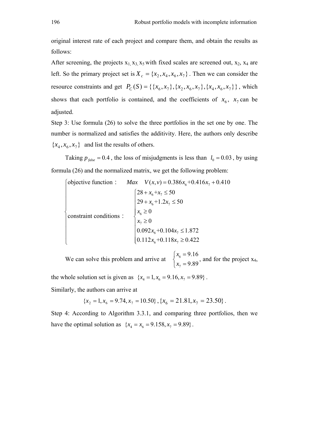original interest rate of each project and compare them, and obtain the results as follows:

After screening, the projects  $x_1, x_3, x_5$  with fixed scales are screened out,  $x_2, x_4$  are left. So the primary project set is  $X_c = \{x_2, x_4, x_6, x_7\}$ . Then we can consider the resource constraints and get  $P_C(S) = \{ \{x_6, x_7\}, \{x_2, x_6, x_7\}, \{x_4, x_6, x_7\} \}$ , which shows that each portfolio is contained, and the coefficients of  $x<sub>6</sub>$ ,  $x<sub>7</sub>$  can be adjusted.

Step 3: Use formula (26) to solve the three portfolios in the set one by one. The number is normalized and satisfies the additivity. Here, the authors only describe  ${x_4, x_6, x_7}$  and list the results of others.

Taking  $p_{false} = 0.4$ , the loss of misjudgments is less than  $l_0 = 0.03$ , by using formula (26) and the normalized matrix, we get the following problem:

$$
\begin{cases}\n\text{objective function}: & \text{Max} \quad V(x, v) = 0.386x_6 + 0.416x_7 + 0.410 \\
& \begin{cases}\n28 + x_6 + x_7 \le 50 \\
29 + x_6 + 1.2x_7 \le 50\n\end{cases} \\
\text{constraint conditions}: & \begin{cases}\n28 + x_6 + x_7 \le 50 \\
29 + x_6 + 1.2x_7 \le 50 \\
x_6 \ge 0 \\
0.092x_6 + 0.104x_7 \le 1.872 \\
0.112x_6 + 0.118x_7 \ge 0.422\n\end{cases}\n\end{cases}
$$

We can solve this problem and arrive at  $\begin{cases} \begin{array}{c} \begin{array}{c} \end{array} \\ \end{cases}$ 7 9.16 9.89 *x*  $\begin{cases} x_6 = \\ x_7 = \end{cases}$  $\begin{cases} x_6 & \text{if } 6 \leq x_1 \\ x_7 & = 9.89 \end{cases}$ , and for the project  $x_4$ ,

the whole solution set is given as  ${x_4 = 1, x_6 = 9.16, x_7 = 9.89}$ .

Similarly, the authors can arrive at

$$
\{x_2 = 1, x_6 = 9.74, x_7 = 10.50\}, \{x_6 = 21.81, x_7 = 23.50\}.
$$

Step 4: According to Algorithm 3.3.1, and comparing three portfolios, then we have the optimal solution as  ${x_4 = x_6 = 9.158, x_7 = 9.89}$ .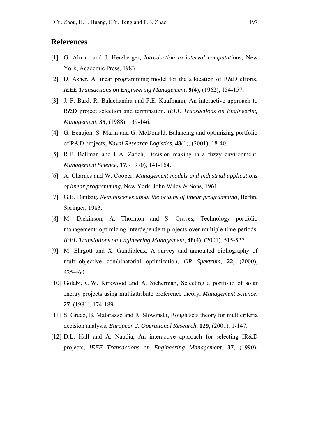# **References**

- [1] G. Almati and J. Herzberger, *Introduction to interval computations*, New York, Academic Press, 1983.
- [2] D. Asher, A linear programming model for the allocation of R&D efforts, *IEEE Transactions on Engineering Management*, **9**(4), (1962), 154-157.
- [3] J. F. Bard, R. Balachandra and P.E. Kaufmann, An interactive approach to R&D project selection and termination, *IEEE Transactions on Engineering Management*, **35**, (1988), 139-146.
- [4] G. Beaujon, S. Marin and G. McDonald, Balancing and optimizing portfolio of R&D projects, *Naval Research Logistics*, **48**(1), (2001), 18-40.
- [5] R.E. Bellman and L.A. Zadeh, Decision making in a fuzzy environment, *Management Science*, **17**, (1970), 141-164.
- [6] A. Charnes and W. Cooper, *Management models and industrial applications of linear programming*, New York, John Wiley & Sons, 1961.
- [7] G.B. Dantzig, *Reminiscenes about the origins of linear programming*, Berlin, Springer, 1983.
- [8] M. Diekinson, A. Thornton and S. Graves, Technology portfolio management: optimizing interdependent projects over multiple time periods, *IEEE Translations on Engineering Management*, **48**(4), (2001), 515-527.
- [9] M. Ehrgott and X. Gandibleux, A survey and annotated bibliography of multi-objective combinatorial optimization, *OR Spektrum*, **22**, (2000), 425-460.
- [10] Golabi, C.W. Kirkwood and A. Sicherman, Selecting a portfolio of solar energy projects using multiattribute preference theory, *Management Science*, **27**, (1981), 174-189.
- [11] S. Greco, B. Matarazzo and R. Slowinski, Rough sets theory for multicriteria decision analysis, *European J. Operational Research*, **129**, (2001), 1-147.
- [12] D.L. Hall and A. Naudia, An interactive approach for selecting IR&D projects, *IEEE Transactions on Engineering Management*, **37**, (1990),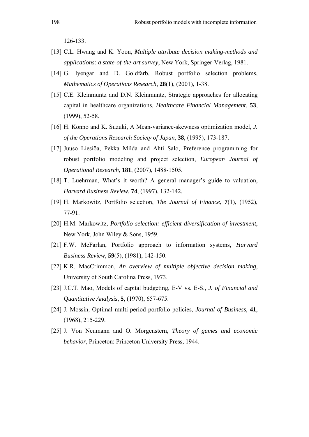126-133.

- [13] C.L. Hwang and K. Yoon, *Multiple attribute decision making-methods and applications: a state-of-the-art survey*, New York, Springer-Verlag, 1981.
- [14] G. Iyengar and D. Goldfarb, Robust portfolio selection problems, *Mathematics of Operations Research*, **28**(1), (2001), 1-38.
- [15] C.E. Kleinmuntz and D.N. Kleinmuntz, Strategic approaches for allocating capital in healthcare organizations, *Healthcare Financial Management*, **53**, (1999), 52-58.
- [16] H. Konno and K. Suzuki, A Mean-variance-skewness optimization model, *J. of the Operations Research Society of Japan*, **38**, (1995), 173-187.
- [17] Juuso Liesiöa, Pekka Milda and Ahti Salo, Preference programming for robust portfolio modeling and project selection, *European Journal of Operational Research*, **181**, (2007), 1488-1505.
- [18] T. Luehrman, What's it worth? A general manager's guide to valuation, *Harvard Business Review*, **74**, (1997), 132-142.
- [19] H. Markowitz, Portfolio selection, *The Journal of Finance*, **7**(1), (1952), 77-91.
- [20] H.M. Markowitz, *Portfolio selection: efficient diversification of investment*, New York, John Wiley & Sons, 1959.
- [21] F.W. McFarlan, Portfolio approach to information systems, *Harvard Business Review*, **59**(5), (1981), 142-150.
- [22] K.R. MacCrimmon, *An overview of multiple objective decision making*, University of South Carolina Press, 1973.
- [23] J.C.T. Mao, Models of capital budgeting, E-V vs. E-S., *J. of Financial and Quantitative Analysis*, **5**, (1970), 657-675.
- [24] J. Mossin*,* Optimal multi-period portfolio policies, *Journal of Business*, **41**, (1968), 215-229.
- [25] J. Von Neumann and O. Morgenstern, *Theory of games and economic behavior*, Princeton: Princeton University Press, 1944.